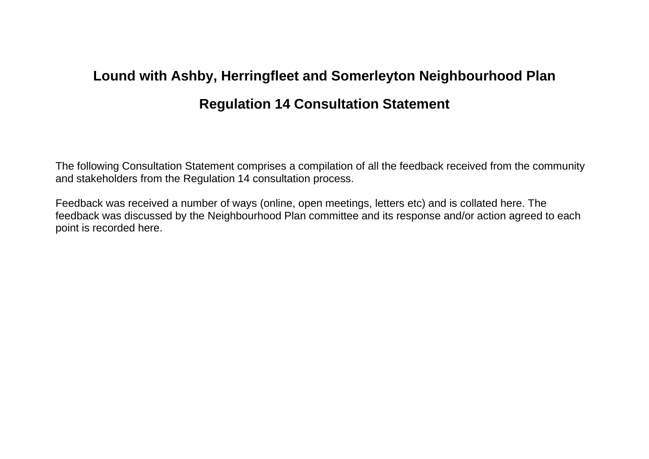# **Lound with Ashby, Herringfleet and Somerleyton Neighbourhood Plan Regulation 14 Consultation Statement**

The following Consultation Statement comprises a compilation of all the feedback received from the community and stakeholders from the Regulation 14 consultation process.

Feedback was received a number of ways (online, open meetings, letters etc) and is collated here. The feedback was discussed by the Neighbourhood Plan committee and its response and/or action agreed to each point is recorded here.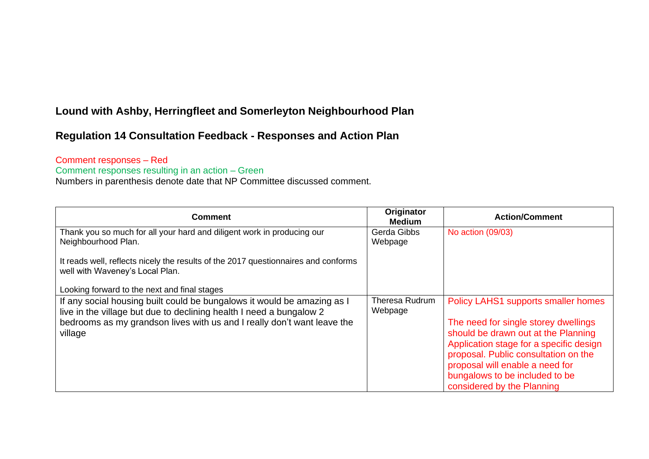## **Lound with Ashby, Herringfleet and Somerleyton Neighbourhood Plan**

## **Regulation 14 Consultation Feedback - Responses and Action Plan**

#### Comment responses – Red

Comment responses resulting in an action – Green

Numbers in parenthesis denote date that NP Committee discussed comment.

| Comment                                                                                                                                                                                                                              | Originator<br><b>Medium</b>      | <b>Action/Comment</b>                                                                                                                                                                                                                                                                                    |
|--------------------------------------------------------------------------------------------------------------------------------------------------------------------------------------------------------------------------------------|----------------------------------|----------------------------------------------------------------------------------------------------------------------------------------------------------------------------------------------------------------------------------------------------------------------------------------------------------|
| Thank you so much for all your hard and diligent work in producing our<br>Neighbourhood Plan.                                                                                                                                        | Gerda Gibbs<br>Webpage           | No action (09/03)                                                                                                                                                                                                                                                                                        |
| It reads well, reflects nicely the results of the 2017 questionnaires and conforms<br>well with Waveney's Local Plan.                                                                                                                |                                  |                                                                                                                                                                                                                                                                                                          |
| Looking forward to the next and final stages                                                                                                                                                                                         |                                  |                                                                                                                                                                                                                                                                                                          |
| If any social housing built could be bungalows it would be amazing as I<br>live in the village but due to declining health I need a bungalow 2<br>bedrooms as my grandson lives with us and I really don't want leave the<br>village | <b>Theresa Rudrum</b><br>Webpage | Policy LAHS1 supports smaller homes<br>The need for single storey dwellings<br>should be drawn out at the Planning<br>Application stage for a specific design<br>proposal. Public consultation on the<br>proposal will enable a need for<br>bungalows to be included to be<br>considered by the Planning |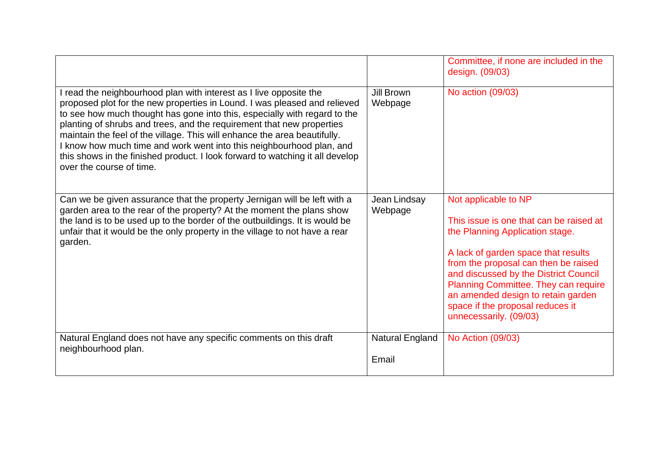|                                                                                                                                                                                                                                                                                                                                                                                                                                                                                                                                                                         |                          | Committee, if none are included in the<br>design. (09/03)                                                                                                                                                                                                                                                                                                              |
|-------------------------------------------------------------------------------------------------------------------------------------------------------------------------------------------------------------------------------------------------------------------------------------------------------------------------------------------------------------------------------------------------------------------------------------------------------------------------------------------------------------------------------------------------------------------------|--------------------------|------------------------------------------------------------------------------------------------------------------------------------------------------------------------------------------------------------------------------------------------------------------------------------------------------------------------------------------------------------------------|
| I read the neighbourhood plan with interest as I live opposite the<br>proposed plot for the new properties in Lound. I was pleased and relieved<br>to see how much thought has gone into this, especially with regard to the<br>planting of shrubs and trees, and the requirement that new properties<br>maintain the feel of the village. This will enhance the area beautifully.<br>I know how much time and work went into this neighbourhood plan, and<br>this shows in the finished product. I look forward to watching it all develop<br>over the course of time. | Jill Brown<br>Webpage    | No action (09/03)                                                                                                                                                                                                                                                                                                                                                      |
| Can we be given assurance that the property Jernigan will be left with a<br>garden area to the rear of the property? At the moment the plans show<br>the land is to be used up to the border of the outbuildings. It is would be<br>unfair that it would be the only property in the village to not have a rear<br>garden.                                                                                                                                                                                                                                              | Jean Lindsay<br>Webpage  | Not applicable to NP<br>This issue is one that can be raised at<br>the Planning Application stage.<br>A lack of garden space that results<br>from the proposal can then be raised<br>and discussed by the District Council<br>Planning Committee. They can require<br>an amended design to retain garden<br>space if the proposal reduces it<br>unnecessarily. (09/03) |
| Natural England does not have any specific comments on this draft<br>neighbourhood plan.                                                                                                                                                                                                                                                                                                                                                                                                                                                                                | Natural England<br>Email | No Action (09/03)                                                                                                                                                                                                                                                                                                                                                      |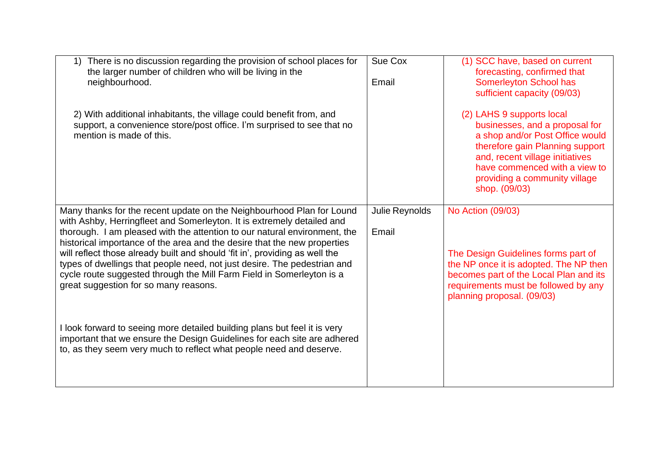| 1) There is no discussion regarding the provision of school places for<br>the larger number of children who will be living in the<br>neighbourhood.                                                                                                                                                                                                                                                                                                                                                                                                                                   | Sue Cox<br>Email        | (1) SCC have, based on current<br>forecasting, confirmed that<br>Somerleyton School has<br>sufficient capacity (09/03)                                                                                                                                  |
|---------------------------------------------------------------------------------------------------------------------------------------------------------------------------------------------------------------------------------------------------------------------------------------------------------------------------------------------------------------------------------------------------------------------------------------------------------------------------------------------------------------------------------------------------------------------------------------|-------------------------|---------------------------------------------------------------------------------------------------------------------------------------------------------------------------------------------------------------------------------------------------------|
| 2) With additional inhabitants, the village could benefit from, and<br>support, a convenience store/post office. I'm surprised to see that no<br>mention is made of this.                                                                                                                                                                                                                                                                                                                                                                                                             |                         | (2) LAHS 9 supports local<br>businesses, and a proposal for<br>a shop and/or Post Office would<br>therefore gain Planning support<br>and, recent village initiatives<br>have commenced with a view to<br>providing a community village<br>shop. (09/03) |
| Many thanks for the recent update on the Neighbourhood Plan for Lound<br>with Ashby, Herringfleet and Somerleyton. It is extremely detailed and<br>thorough. I am pleased with the attention to our natural environment, the<br>historical importance of the area and the desire that the new properties<br>will reflect those already built and should 'fit in', providing as well the<br>types of dwellings that people need, not just desire. The pedestrian and<br>cycle route suggested through the Mill Farm Field in Somerleyton is a<br>great suggestion for so many reasons. | Julie Reynolds<br>Email | No Action (09/03)<br>The Design Guidelines forms part of<br>the NP once it is adopted. The NP then<br>becomes part of the Local Plan and its<br>requirements must be followed by any<br>planning proposal. (09/03)                                      |
| look forward to seeing more detailed building plans but feel it is very<br>important that we ensure the Design Guidelines for each site are adhered<br>to, as they seem very much to reflect what people need and deserve.                                                                                                                                                                                                                                                                                                                                                            |                         |                                                                                                                                                                                                                                                         |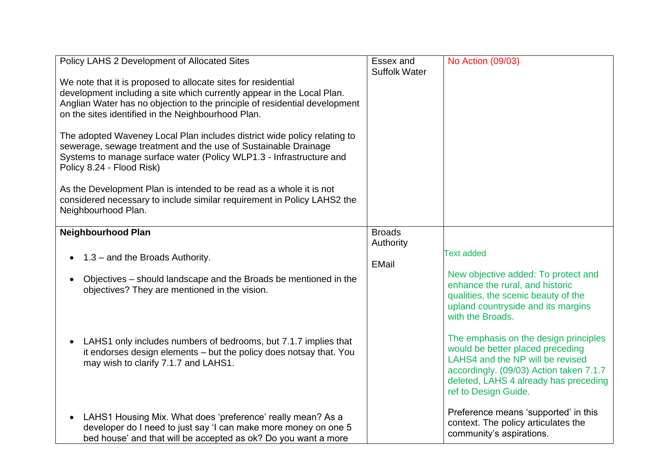| Policy LAHS 2 Development of Allocated Sites                                                                                                                                                                                                                                | Essex and<br><b>Suffolk Water</b> | No Action (09/03)                                                                                                                                                                                                         |
|-----------------------------------------------------------------------------------------------------------------------------------------------------------------------------------------------------------------------------------------------------------------------------|-----------------------------------|---------------------------------------------------------------------------------------------------------------------------------------------------------------------------------------------------------------------------|
| We note that it is proposed to allocate sites for residential<br>development including a site which currently appear in the Local Plan.<br>Anglian Water has no objection to the principle of residential development<br>on the sites identified in the Neighbourhood Plan. |                                   |                                                                                                                                                                                                                           |
| The adopted Waveney Local Plan includes district wide policy relating to<br>sewerage, sewage treatment and the use of Sustainable Drainage<br>Systems to manage surface water (Policy WLP1.3 - Infrastructure and<br>Policy 8.24 - Flood Risk)                              |                                   |                                                                                                                                                                                                                           |
| As the Development Plan is intended to be read as a whole it is not<br>considered necessary to include similar requirement in Policy LAHS2 the<br>Neighbourhood Plan.                                                                                                       |                                   |                                                                                                                                                                                                                           |
| <b>Neighbourhood Plan</b>                                                                                                                                                                                                                                                   | <b>Broads</b><br>Authority        |                                                                                                                                                                                                                           |
| $1.3$ – and the Broads Authority.                                                                                                                                                                                                                                           | <b>EMail</b>                      | <b>Text added</b>                                                                                                                                                                                                         |
| Objectives - should landscape and the Broads be mentioned in the<br>objectives? They are mentioned in the vision.                                                                                                                                                           |                                   | New objective added: To protect and<br>enhance the rural, and historic<br>qualities, the scenic beauty of the<br>upland countryside and its margins<br>with the Broads.                                                   |
| LAHS1 only includes numbers of bedrooms, but 7.1.7 implies that<br>it endorses design elements - but the policy does notsay that. You<br>may wish to clarify 7.1.7 and LAHS1.                                                                                               |                                   | The emphasis on the design principles<br>would be better placed preceding<br>LAHS4 and the NP will be revised<br>accordingly. (09/03) Action taken 7.1.7<br>deleted, LAHS 4 already has preceding<br>ref to Design Guide. |
| LAHS1 Housing Mix. What does 'preference' really mean? As a<br>developer do I need to just say 'I can make more money on one 5<br>bed house' and that will be accepted as ok? Do you want a more                                                                            |                                   | Preference means 'supported' in this<br>context. The policy articulates the<br>community's aspirations.                                                                                                                   |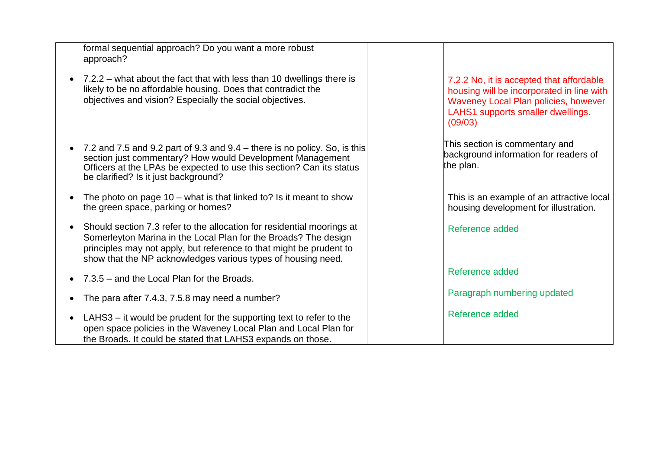| formal sequential approach? Do you want a more robust<br>approach?                                                                                                                                                                                                               |                                                                                                                                                                               |
|----------------------------------------------------------------------------------------------------------------------------------------------------------------------------------------------------------------------------------------------------------------------------------|-------------------------------------------------------------------------------------------------------------------------------------------------------------------------------|
| 7.2.2 – what about the fact that with less than 10 dwellings there is<br>likely to be no affordable housing. Does that contradict the<br>objectives and vision? Especially the social objectives.                                                                                | 7.2.2 No, it is accepted that affordable<br>housing will be incorporated in line with<br>Waveney Local Plan policies, however<br>LAHS1 supports smaller dwellings.<br>(09/03) |
| 7.2 and 7.5 and 9.2 part of 9.3 and 9.4 – there is no policy. So, is this<br>section just commentary? How would Development Management<br>Officers at the LPAs be expected to use this section? Can its status<br>be clarified? Is it just background?                           | This section is commentary and<br>background information for readers of<br>the plan.                                                                                          |
| The photo on page $10$ – what is that linked to? Is it meant to show<br>the green space, parking or homes?                                                                                                                                                                       | This is an example of an attractive local<br>housing development for illustration.                                                                                            |
| Should section 7.3 refer to the allocation for residential moorings at<br>Somerleyton Marina in the Local Plan for the Broads? The design<br>principles may not apply, but reference to that might be prudent to<br>show that the NP acknowledges various types of housing need. | Reference added                                                                                                                                                               |
| 7.3.5 - and the Local Plan for the Broads.                                                                                                                                                                                                                                       | Reference added                                                                                                                                                               |
| The para after 7.4.3, 7.5.8 may need a number?                                                                                                                                                                                                                                   | Paragraph numbering updated                                                                                                                                                   |
| LAHS3 – it would be prudent for the supporting text to refer to the<br>open space policies in the Waveney Local Plan and Local Plan for<br>the Broads. It could be stated that LAHS3 expands on those.                                                                           | Reference added                                                                                                                                                               |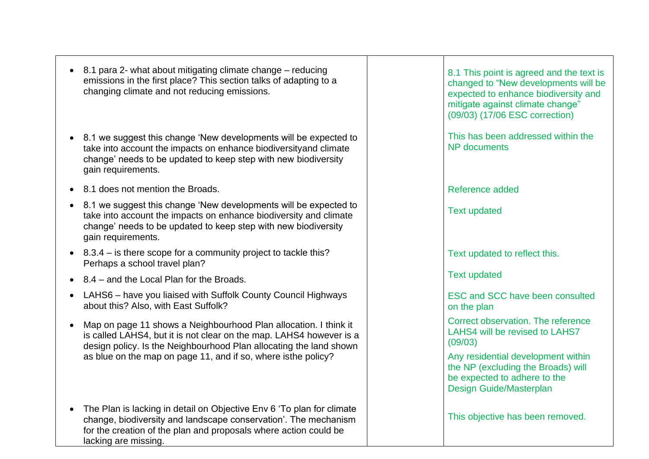- 8.1 para 2- what about mitigating climate change reducing emissions in the first place? This section talks of adapting to a changing climate and not reducing emissions.
- 8.1 we suggest this change 'New developments will be expected to take into account the impacts on enhance biodiversityand climate change' needs to be updated to keep step with new biodiversity gain requirements.
- 8.1 does not mention the Broads.
- 8.1 we suggest this change 'New developments will be expected to take into account the impacts on enhance biodiversity and climate change' needs to be updated to keep step with new biodiversity gain requirements.
- 8.3.4 is there scope for a community project to tackle this? Perhaps a school travel plan?
- 8.4 and the Local Plan for the Broads.
- LAHS6 have you liaised with Suffolk County Council Highways about this? Also, with East Suffolk?
- Map on page 11 shows a Neighbourhood Plan allocation. I think it is called LAHS4, but it is not clear on the map. LAHS4 however is a design policy. Is the Neighbourhood Plan allocating the land shown as blue on the map on page 11, and if so, where isthe policy?
- The Plan is lacking in detail on Objective Env 6 'To plan for climate change, biodiversity and landscape conservation'. The mechanism for the creation of the plan and proposals where action could be lacking are missing.

8.1 This point is agreed and the text is changed to "New developments will be expected to enhance biodiversity and mitigate against climate change" (09/03) (17/06 ESC correction)

This has been addressed within the NP documents

Reference added

Text updated

Text updated to reflect this.

Text updated

ESC and SCC have been consulted on the plan

Correct observation. The reference LAHS4 will be revised to LAHS7 (09/03)

Any residential development within the NP (excluding the Broads) will be expected to adhere to the Design Guide/Masterplan

This objective has been removed.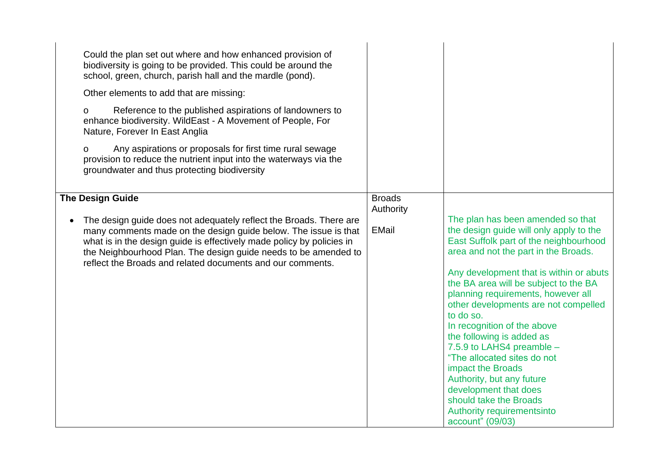| Could the plan set out where and how enhanced provision of<br>biodiversity is going to be provided. This could be around the<br>school, green, church, parish hall and the mardle (pond).<br>Other elements to add that are missing:<br>Reference to the published aspirations of landowners to<br>$\Omega$<br>enhance biodiversity. WildEast - A Movement of People, For<br>Nature, Forever In East Anglia<br>Any aspirations or proposals for first time rural sewage<br>$\Omega$<br>provision to reduce the nutrient input into the waterways via the<br>groundwater and thus protecting biodiversity |                                            |                                                                                                                                                                                                                                                                                                                                                                                                                                                                                                                                                                                                                              |
|----------------------------------------------------------------------------------------------------------------------------------------------------------------------------------------------------------------------------------------------------------------------------------------------------------------------------------------------------------------------------------------------------------------------------------------------------------------------------------------------------------------------------------------------------------------------------------------------------------|--------------------------------------------|------------------------------------------------------------------------------------------------------------------------------------------------------------------------------------------------------------------------------------------------------------------------------------------------------------------------------------------------------------------------------------------------------------------------------------------------------------------------------------------------------------------------------------------------------------------------------------------------------------------------------|
| <b>The Design Guide</b><br>The design guide does not adequately reflect the Broads. There are<br>$\bullet$<br>many comments made on the design guide below. The issue is that<br>what is in the design guide is effectively made policy by policies in<br>the Neighbourhood Plan. The design guide needs to be amended to<br>reflect the Broads and related documents and our comments.                                                                                                                                                                                                                  | <b>Broads</b><br>Authority<br><b>EMail</b> | The plan has been amended so that<br>the design guide will only apply to the<br>East Suffolk part of the neighbourhood<br>area and not the part in the Broads.<br>Any development that is within or abuts<br>the BA area will be subject to the BA<br>planning requirements, however all<br>other developments are not compelled<br>to do so.<br>In recognition of the above<br>the following is added as<br>7.5.9 to LAHS4 preamble -<br>"The allocated sites do not<br>impact the Broads<br>Authority, but any future<br>development that does<br>should take the Broads<br>Authority requirementsinto<br>account" (09/03) |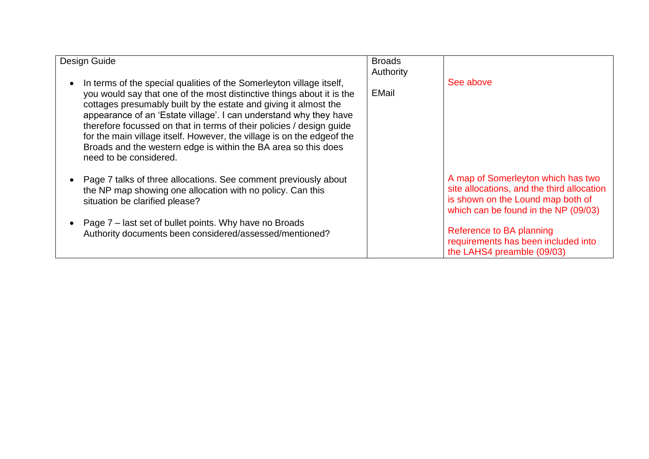| Design Guide                                                                                                                                                                                                                                                                                                                                                                                                                                                                                                                         | <b>Broads</b><br>Authority |                                                                                                                                                               |
|--------------------------------------------------------------------------------------------------------------------------------------------------------------------------------------------------------------------------------------------------------------------------------------------------------------------------------------------------------------------------------------------------------------------------------------------------------------------------------------------------------------------------------------|----------------------------|---------------------------------------------------------------------------------------------------------------------------------------------------------------|
| In terms of the special qualities of the Somerleyton village itself,<br>you would say that one of the most distinctive things about it is the<br>cottages presumably built by the estate and giving it almost the<br>appearance of an 'Estate village'. I can understand why they have<br>therefore focussed on that in terms of their policies / design guide<br>for the main village itself. However, the village is on the edgeof the<br>Broads and the western edge is within the BA area so this does<br>need to be considered. | EMail                      | See above                                                                                                                                                     |
| Page 7 talks of three allocations. See comment previously about<br>the NP map showing one allocation with no policy. Can this<br>situation be clarified please?                                                                                                                                                                                                                                                                                                                                                                      |                            | A map of Somerleyton which has two<br>site allocations, and the third allocation<br>is shown on the Lound map both of<br>which can be found in the NP (09/03) |
| • Page 7 – last set of bullet points. Why have no Broads<br>Authority documents been considered/assessed/mentioned?                                                                                                                                                                                                                                                                                                                                                                                                                  |                            | Reference to BA planning<br>requirements has been included into<br>the LAHS4 preamble (09/03)                                                                 |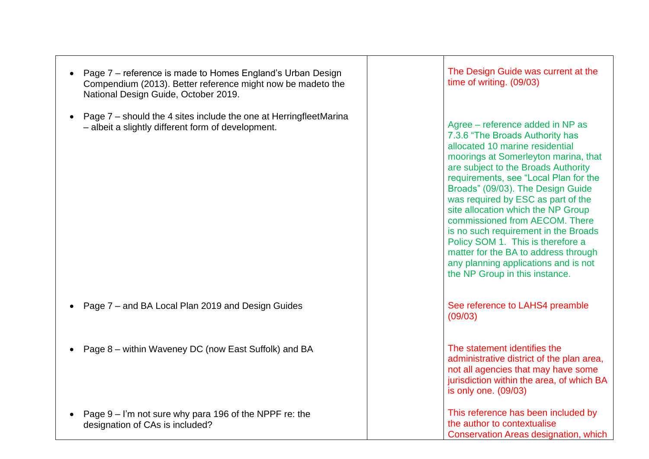| Page 7 – reference is made to Homes England's Urban Design<br>$\bullet$<br>Compendium (2013). Better reference might now be madeto the<br>National Design Guide, October 2019. | The Design Guide was current at the<br>time of writing. (09/03)                                                                                                                                                                                                                                                                                                                                                                                                                                                                                                                  |
|--------------------------------------------------------------------------------------------------------------------------------------------------------------------------------|----------------------------------------------------------------------------------------------------------------------------------------------------------------------------------------------------------------------------------------------------------------------------------------------------------------------------------------------------------------------------------------------------------------------------------------------------------------------------------------------------------------------------------------------------------------------------------|
| Page 7 – should the 4 sites include the one at HerringfleetMarina<br>$\bullet$<br>- albeit a slightly different form of development.                                           | Agree – reference added in NP as<br>7.3.6 "The Broads Authority has<br>allocated 10 marine residential<br>moorings at Somerleyton marina, that<br>are subject to the Broads Authority<br>requirements, see "Local Plan for the<br>Broads" (09/03). The Design Guide<br>was required by ESC as part of the<br>site allocation which the NP Group<br>commissioned from AECOM. There<br>is no such requirement in the Broads<br>Policy SOM 1. This is therefore a<br>matter for the BA to address through<br>any planning applications and is not<br>the NP Group in this instance. |
| Page 7 – and BA Local Plan 2019 and Design Guides                                                                                                                              | See reference to LAHS4 preamble<br>(09/03)                                                                                                                                                                                                                                                                                                                                                                                                                                                                                                                                       |
| Page 8 – within Waveney DC (now East Suffolk) and BA<br>$\bullet$                                                                                                              | The statement identifies the<br>administrative district of the plan area,<br>not all agencies that may have some<br>jurisdiction within the area, of which BA<br>is only one. (09/03)                                                                                                                                                                                                                                                                                                                                                                                            |
| Page 9 – I'm not sure why para 196 of the NPPF re: the<br>$\bullet$<br>designation of CAs is included?                                                                         | This reference has been included by<br>the author to contextualise<br>Conservation Areas designation, which                                                                                                                                                                                                                                                                                                                                                                                                                                                                      |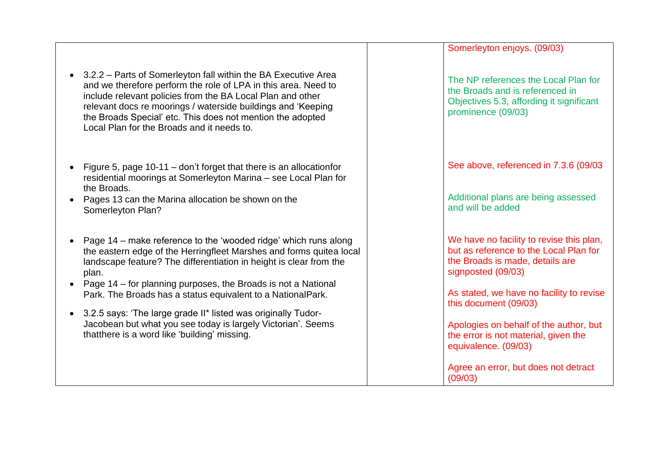• 3.2.2 – Parts of Somerleyton fall within the BA Executive Area and we therefore perform the role of LPA in this area. Need to include relevant policies from the BA Local Plan and other relevant docs re moorings / waterside buildings and 'Keeping the Broads Special' etc. This does not mention the adopted Local Plan for the Broads and it needs to.

- Figure 5, page 10-11 don't forget that there is an allocationfor residential moorings at Somerleyton Marina – see Local Plan for the Broads.
- Pages 13 can the Marina allocation be shown on the Somerleyton Plan?
- Page 14 make reference to the 'wooded ridge' which runs along the eastern edge of the Herringfleet Marshes and forms quitea local landscape feature? The differentiation in height is clear from the plan.
- Page 14 for planning purposes, the Broads is not a National Park. The Broads has a status equivalent to a NationalPark.
- 3.2.5 says: 'The large grade II\* listed was originally Tudor-Jacobean but what you see today is largely Victorian'. Seems thatthere is a word like 'building' missing.

Somerleyton enjoys. (09/03)

The NP references the Local Plan for the Broads and is referenced in Objectives 5.3, affording it significant prominence (09/03)

See above, referenced in 7.3.6 (09/03

Additional plans are being assessed and will be added

We have no facility to revise this plan, but as reference to the Local Plan for the Broads is made, details are signposted (09/03)

As stated, we have no facility to revise this document (09/03)

Apologies on behalf of the author, but the error is not material, given the equivalence. (09/03)

Agree an error, but does not detract (09/03)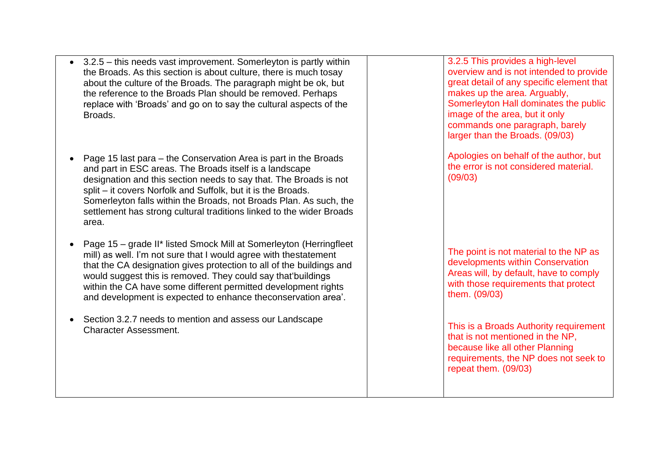- 3.2.5 this needs vast improvement. Somerleyton is partly within the Broads. As this section is about culture, there is much tosay about the culture of the Broads. The paragraph might be ok, but the reference to the Broads Plan should be removed. Perhaps replace with 'Broads' and go on to say the cultural aspects of the Broads.
- Page 15 last para the Conservation Area is part in the Broads and part in ESC areas. The Broads itself is a landscape designation and this section needs to say that. The Broads is not split – it covers Norfolk and Suffolk, but it is the Broads. Somerleyton falls within the Broads, not Broads Plan. As such, the settlement has strong cultural traditions linked to the wider Broads area.
- Page 15 grade II\* listed Smock Mill at Somerleyton (Herringfleet mill) as well. I'm not sure that I would agree with thestatement that the CA designation gives protection to all of the buildings and would suggest this is removed. They could say that'buildings within the CA have some different permitted development rights and development is expected to enhance theconservation area'.
- Section 3.2.7 needs to mention and assess our Landscape Character Assessment.

3.2.5 This provides a high-level overview and is not intended to provide great detail of any specific element that makes up the area. Arguably, Somerleyton Hall dominates the public image of the area, but it only commands one paragraph, barely larger than the Broads. (09/03)

Apologies on behalf of the author, but the error is not considered material. (09/03)

The point is not material to the NP as developments within Conservation Areas will, by default, have to comply with those requirements that protect them. (09/03)

This is a Broads Authority requirement that is not mentioned in the NP, because like all other Planning requirements, the NP does not seek to repeat them. (09/03)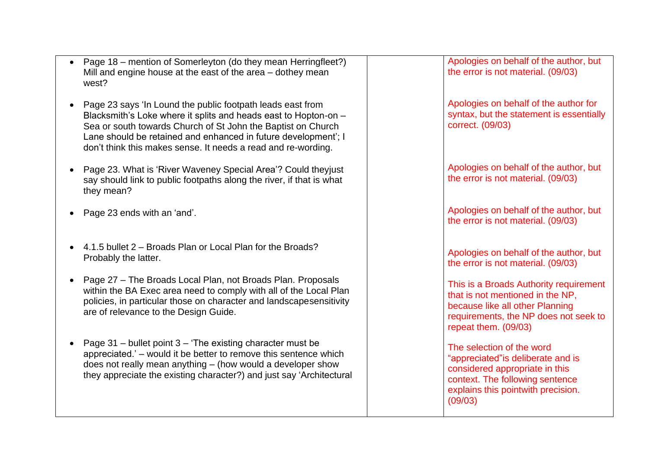| Apologies on behalf of the author, but<br>the error is not material. (09/03)                                                                                                          |
|---------------------------------------------------------------------------------------------------------------------------------------------------------------------------------------|
| Apologies on behalf of the author for<br>syntax, but the statement is essentially<br>correct. (09/03)                                                                                 |
| Apologies on behalf of the author, but<br>the error is not material. (09/03)                                                                                                          |
| Apologies on behalf of the author, but<br>the error is not material. (09/03)                                                                                                          |
| Apologies on behalf of the author, but<br>the error is not material. (09/03)                                                                                                          |
| This is a Broads Authority requirement<br>that is not mentioned in the NP,<br>because like all other Planning<br>requirements, the NP does not seek to<br>repeat them. (09/03)        |
| The selection of the word<br>"appreciated" is deliberate and is<br>considered appropriate in this<br>context. The following sentence<br>explains this pointwith precision.<br>(09/03) |
|                                                                                                                                                                                       |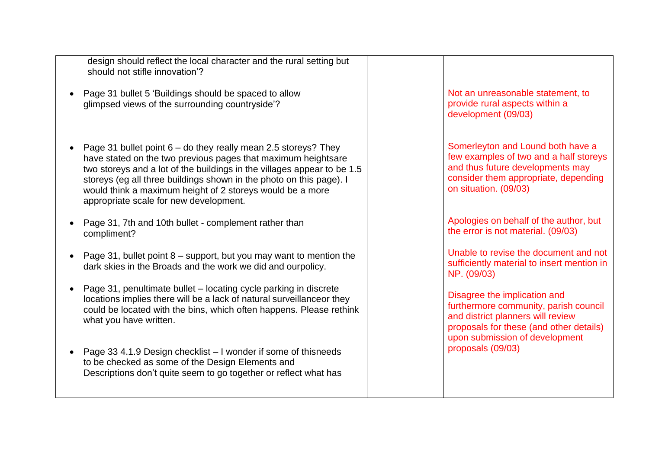|           | design should reflect the local character and the rural setting but<br>should not stifle innovation'?                                                                                                                                                                                                                                                                                      |                                                                                                                                                                                         |
|-----------|--------------------------------------------------------------------------------------------------------------------------------------------------------------------------------------------------------------------------------------------------------------------------------------------------------------------------------------------------------------------------------------------|-----------------------------------------------------------------------------------------------------------------------------------------------------------------------------------------|
| $\bullet$ | Page 31 bullet 5 'Buildings should be spaced to allow<br>glimpsed views of the surrounding countryside'?                                                                                                                                                                                                                                                                                   | Not an unreasonable statement, to<br>provide rural aspects within a<br>development (09/03)                                                                                              |
| $\bullet$ | Page 31 bullet point $6 -$ do they really mean 2.5 storeys? They<br>have stated on the two previous pages that maximum heightsare<br>two storeys and a lot of the buildings in the villages appear to be 1.5<br>storeys (eg all three buildings shown in the photo on this page). I<br>would think a maximum height of 2 storeys would be a more<br>appropriate scale for new development. | Somerleyton and Lound both have a<br>few examples of two and a half storeys<br>and thus future developments may<br>consider them appropriate, depending<br>on situation. (09/03)        |
|           | Page 31, 7th and 10th bullet - complement rather than<br>compliment?                                                                                                                                                                                                                                                                                                                       | Apologies on behalf of the author, but<br>the error is not material. (09/03)                                                                                                            |
| $\bullet$ | Page 31, bullet point $8$ – support, but you may want to mention the<br>dark skies in the Broads and the work we did and ourpolicy.                                                                                                                                                                                                                                                        | Unable to revise the document and not<br>sufficiently material to insert mention in<br>NP. (09/03)                                                                                      |
| $\bullet$ | Page 31, penultimate bullet – locating cycle parking in discrete<br>locations implies there will be a lack of natural surveillanceor they<br>could be located with the bins, which often happens. Please rethink<br>what you have written.                                                                                                                                                 | Disagree the implication and<br>furthermore community, parish council<br>and district planners will review<br>proposals for these (and other details)<br>upon submission of development |
|           | Page 33 4.1.9 Design checklist – I wonder if some of thisneeds<br>to be checked as some of the Design Elements and<br>Descriptions don't quite seem to go together or reflect what has                                                                                                                                                                                                     | proposals (09/03)                                                                                                                                                                       |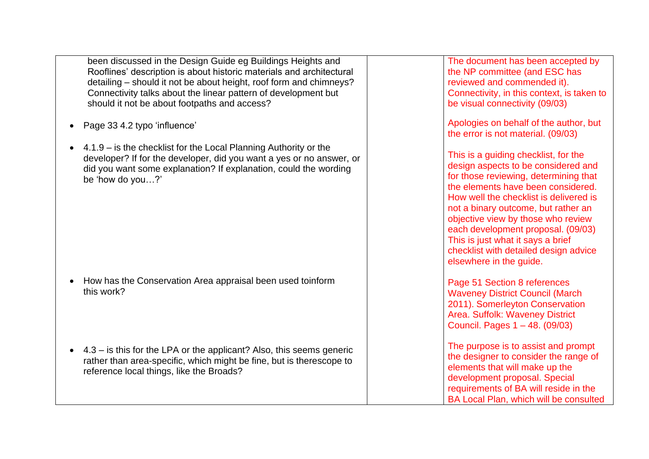been discussed in the Design Guide eg Buildings Heights and Rooflines' description is about historic materials and architectural detailing – should it not be about height, roof form and chimneys? Connectivity talks about the linear pattern of development but should it not be about footpaths and access?

- Page 33 4.2 typo 'influence'
- 4.1.9 is the checklist for the Local Planning Authority or the developer? If for the developer, did you want a yes or no answer, or did you want some explanation? If explanation, could the wording be 'how do you…?'

• How has the Conservation Area appraisal been used toinform this work?

 $\bullet$  4.3 – is this for the LPA or the applicant? Also, this seems generic rather than area-specific, which might be fine, but is therescope to reference local things, like the Broads?

The document has been accepted by the NP committee (and ESC has reviewed and commended it). Connectivity, in this context, is taken to be visual connectivity (09/03)

Apologies on behalf of the author, but the error is not material. (09/03)

This is a guiding checklist, for the design aspects to be considered and for those reviewing, determining that the elements have been considered. How well the checklist is delivered is not a binary outcome, but rather an objective view by those who review each development proposal. (09/03) This is just what it says a brief checklist with detailed design advice elsewhere in the guide.

Page 51 Section 8 references Waveney District Council (March 2011). Somerleyton Conservation Area. Suffolk: Waveney District Council. Pages 1 – 48. (09/03)

The purpose is to assist and prompt the designer to consider the range of elements that will make up the development proposal. Special requirements of BA will reside in the BA Local Plan, which will be consulted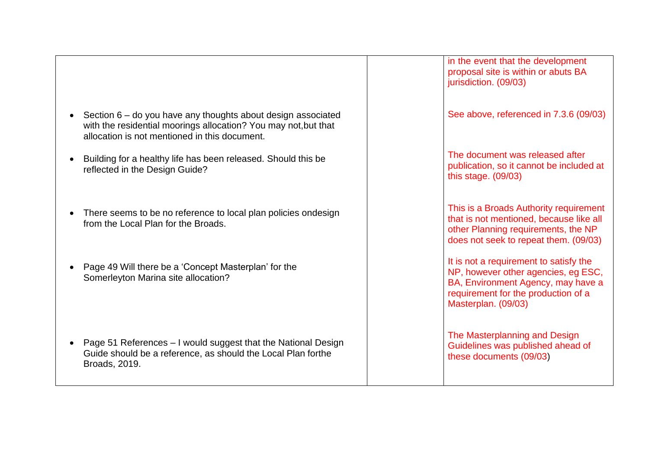|                                                                                                                                                                                  | in the event that the development<br>proposal site is within or abuts BA<br>jurisdiction. (09/03)                                                                                 |
|----------------------------------------------------------------------------------------------------------------------------------------------------------------------------------|-----------------------------------------------------------------------------------------------------------------------------------------------------------------------------------|
| Section 6 – do you have any thoughts about design associated<br>with the residential moorings allocation? You may not, but that<br>allocation is not mentioned in this document. | See above, referenced in 7.3.6 (09/03)                                                                                                                                            |
| Building for a healthy life has been released. Should this be<br>reflected in the Design Guide?                                                                                  | The document was released after<br>publication, so it cannot be included at<br>this stage. $(09/03)$                                                                              |
| There seems to be no reference to local plan policies ondesign<br>from the Local Plan for the Broads.                                                                            | This is a Broads Authority requirement<br>that is not mentioned, because like all<br>other Planning requirements, the NP<br>does not seek to repeat them. (09/03)                 |
| Page 49 Will there be a 'Concept Masterplan' for the<br>Somerleyton Marina site allocation?                                                                                      | It is not a requirement to satisfy the<br>NP, however other agencies, eg ESC,<br>BA, Environment Agency, may have a<br>requirement for the production of a<br>Masterplan. (09/03) |
| Page 51 References - I would suggest that the National Design<br>Guide should be a reference, as should the Local Plan forthe<br>Broads, 2019.                                   | The Masterplanning and Design<br>Guidelines was published ahead of<br>these documents (09/03)                                                                                     |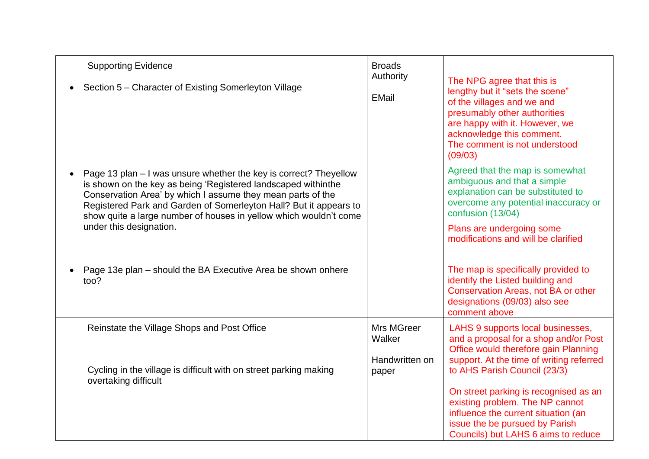| <b>Supporting Evidence</b><br>Section 5 - Character of Existing Somerleyton Village                                                                                                                                                                                                                                                                                    | <b>Broads</b><br>Authority<br><b>EMail</b> | The NPG agree that this is<br>lengthy but it "sets the scene"<br>of the villages and we and<br>presumably other authorities<br>are happy with it. However, we<br>acknowledge this comment.<br>The comment is not understood<br>(09/03) |
|------------------------------------------------------------------------------------------------------------------------------------------------------------------------------------------------------------------------------------------------------------------------------------------------------------------------------------------------------------------------|--------------------------------------------|----------------------------------------------------------------------------------------------------------------------------------------------------------------------------------------------------------------------------------------|
| Page 13 plan – I was unsure whether the key is correct? Theyellow<br>is shown on the key as being 'Registered landscaped withinthe<br>Conservation Area' by which I assume they mean parts of the<br>Registered Park and Garden of Somerleyton Hall? But it appears to<br>show quite a large number of houses in yellow which wouldn't come<br>under this designation. |                                            | Agreed that the map is somewhat<br>ambiguous and that a simple<br>explanation can be substituted to<br>overcome any potential inaccuracy or<br>confusion (13/04)<br>Plans are undergoing some                                          |
| Page 13e plan – should the BA Executive Area be shown onhere<br>too?                                                                                                                                                                                                                                                                                                   |                                            | modifications and will be clarified<br>The map is specifically provided to<br>identify the Listed building and<br>Conservation Areas, not BA or other<br>designations (09/03) also see<br>comment above                                |
| Reinstate the Village Shops and Post Office                                                                                                                                                                                                                                                                                                                            | Mrs MGreer<br>Walker<br>Handwritten on     | LAHS 9 supports local businesses,<br>and a proposal for a shop and/or Post<br>Office would therefore gain Planning<br>support. At the time of writing referred                                                                         |
| Cycling in the village is difficult with on street parking making<br>overtaking difficult                                                                                                                                                                                                                                                                              | paper                                      | to AHS Parish Council (23/3)<br>On street parking is recognised as an<br>existing problem. The NP cannot<br>influence the current situation (an<br>issue the be pursued by Parish<br>Councils) but LAHS 6 aims to reduce               |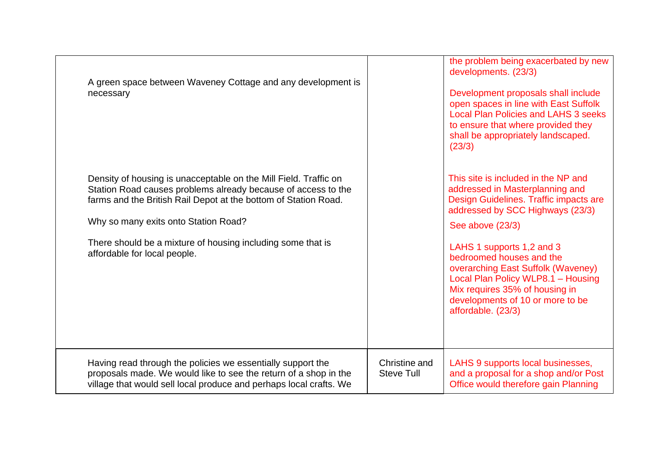| A green space between Waveney Cottage and any development is<br>necessary                                                                                                                                                                                                                                                                   |                                    | the problem being exacerbated by new<br>developments. (23/3)<br>Development proposals shall include<br>open spaces in line with East Suffolk<br><b>Local Plan Policies and LAHS 3 seeks</b><br>to ensure that where provided they<br>shall be appropriately landscaped.<br>(23/3)                                                                                                                         |
|---------------------------------------------------------------------------------------------------------------------------------------------------------------------------------------------------------------------------------------------------------------------------------------------------------------------------------------------|------------------------------------|-----------------------------------------------------------------------------------------------------------------------------------------------------------------------------------------------------------------------------------------------------------------------------------------------------------------------------------------------------------------------------------------------------------|
| Density of housing is unacceptable on the Mill Field. Traffic on<br>Station Road causes problems already because of access to the<br>farms and the British Rail Depot at the bottom of Station Road.<br>Why so many exits onto Station Road?<br>There should be a mixture of housing including some that is<br>affordable for local people. |                                    | This site is included in the NP and<br>addressed in Masterplanning and<br>Design Guidelines. Traffic impacts are<br>addressed by SCC Highways (23/3)<br>See above (23/3)<br>LAHS 1 supports 1,2 and 3<br>bedroomed houses and the<br>overarching East Suffolk (Waveney)<br>Local Plan Policy WLP8.1 - Housing<br>Mix requires 35% of housing in<br>developments of 10 or more to be<br>affordable. (23/3) |
| Having read through the policies we essentially support the<br>proposals made. We would like to see the return of a shop in the<br>village that would sell local produce and perhaps local crafts. We                                                                                                                                       | Christine and<br><b>Steve Tull</b> | LAHS 9 supports local businesses,<br>and a proposal for a shop and/or Post<br>Office would therefore gain Planning                                                                                                                                                                                                                                                                                        |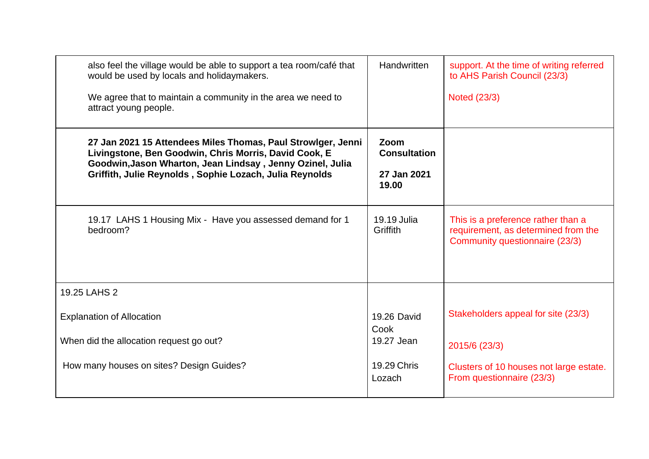| also feel the village would be able to support a tea room/café that<br>would be used by locals and holidaymakers.                                                                  | Handwritten                 | support. At the time of writing referred<br>to AHS Parish Council (23/3)                                    |
|------------------------------------------------------------------------------------------------------------------------------------------------------------------------------------|-----------------------------|-------------------------------------------------------------------------------------------------------------|
| We agree that to maintain a community in the area we need to<br>attract young people.                                                                                              |                             | Noted (23/3)                                                                                                |
| 27 Jan 2021 15 Attendees Miles Thomas, Paul Strowlger, Jenni<br>Livingstone, Ben Goodwin, Chris Morris, David Cook, E<br>Goodwin, Jason Wharton, Jean Lindsay, Jenny Ozinel, Julia | Zoom<br><b>Consultation</b> |                                                                                                             |
| Griffith, Julie Reynolds, Sophie Lozach, Julia Reynolds                                                                                                                            | 27 Jan 2021<br>19.00        |                                                                                                             |
| 19.17 LAHS 1 Housing Mix - Have you assessed demand for 1<br>bedroom?                                                                                                              | 19.19 Julia<br>Griffith     | This is a preference rather than a<br>requirement, as determined from the<br>Community questionnaire (23/3) |
| 19.25 LAHS 2                                                                                                                                                                       |                             |                                                                                                             |
| <b>Explanation of Allocation</b>                                                                                                                                                   | <b>19.26 David</b><br>Cook  | Stakeholders appeal for site (23/3)                                                                         |
| When did the allocation request go out?                                                                                                                                            | 19.27 Jean                  | 2015/6 (23/3)                                                                                               |
| How many houses on sites? Design Guides?                                                                                                                                           | 19.29 Chris<br>Lozach       | Clusters of 10 houses not large estate.<br>From questionnaire (23/3)                                        |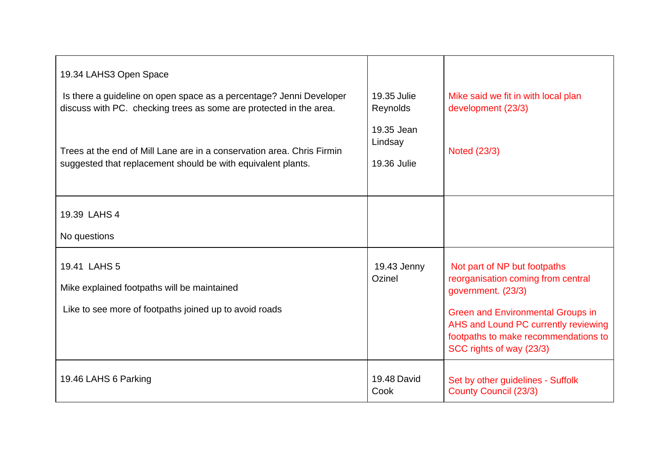| 19.34 LAHS3 Open Space                                                                                                                    |                                      |                                                                                                                                                                                                                                                  |
|-------------------------------------------------------------------------------------------------------------------------------------------|--------------------------------------|--------------------------------------------------------------------------------------------------------------------------------------------------------------------------------------------------------------------------------------------------|
| Is there a guideline on open space as a percentage? Jenni Developer<br>discuss with PC. checking trees as some are protected in the area. | 19.35 Julie<br>Reynolds              | Mike said we fit in with local plan<br>development (23/3)                                                                                                                                                                                        |
| Trees at the end of Mill Lane are in a conservation area. Chris Firmin<br>suggested that replacement should be with equivalent plants.    | 19.35 Jean<br>Lindsay<br>19.36 Julie | Noted (23/3)                                                                                                                                                                                                                                     |
| 19.39 LAHS 4<br>No questions                                                                                                              |                                      |                                                                                                                                                                                                                                                  |
| 19.41 LAHS 5<br>Mike explained footpaths will be maintained<br>Like to see more of footpaths joined up to avoid roads                     | 19.43 Jenny<br>Ozinel                | Not part of NP but footpaths<br>reorganisation coming from central<br>government. (23/3)<br><b>Green and Environmental Groups in</b><br>AHS and Lound PC currently reviewing<br>footpaths to make recommendations to<br>SCC rights of way (23/3) |
| 19.46 LAHS 6 Parking                                                                                                                      | 19.48 David<br>Cook                  | Set by other guidelines - Suffolk<br><b>County Council (23/3)</b>                                                                                                                                                                                |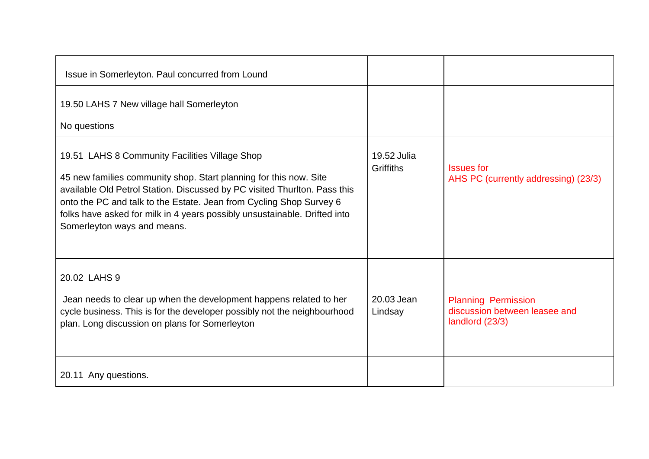| Issue in Somerleyton. Paul concurred from Lound                                                                                                                                                                                                                                                                                                                                     |                                 |                                                                                |
|-------------------------------------------------------------------------------------------------------------------------------------------------------------------------------------------------------------------------------------------------------------------------------------------------------------------------------------------------------------------------------------|---------------------------------|--------------------------------------------------------------------------------|
| 19.50 LAHS 7 New village hall Somerleyton                                                                                                                                                                                                                                                                                                                                           |                                 |                                                                                |
| No questions                                                                                                                                                                                                                                                                                                                                                                        |                                 |                                                                                |
| 19.51 LAHS 8 Community Facilities Village Shop<br>45 new families community shop. Start planning for this now. Site<br>available Old Petrol Station. Discussed by PC visited Thurlton. Pass this<br>onto the PC and talk to the Estate. Jean from Cycling Shop Survey 6<br>folks have asked for milk in 4 years possibly unsustainable. Drifted into<br>Somerleyton ways and means. | 19.52 Julia<br><b>Griffiths</b> | <b>Issues for</b><br>AHS PC (currently addressing) (23/3)                      |
| 20.02 LAHS 9<br>Jean needs to clear up when the development happens related to her<br>cycle business. This is for the developer possibly not the neighbourhood<br>plan. Long discussion on plans for Somerleyton                                                                                                                                                                    | 20.03 Jean<br>Lindsay           | <b>Planning Permission</b><br>discussion between leasee and<br>landlord (23/3) |
| 20.11 Any questions.                                                                                                                                                                                                                                                                                                                                                                |                                 |                                                                                |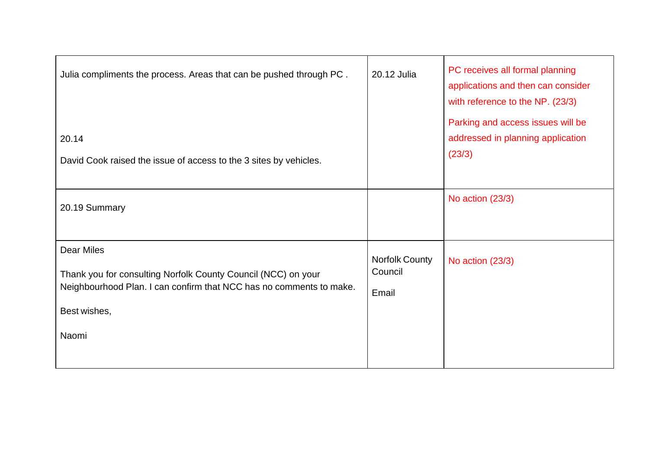| Julia compliments the process. Areas that can be pushed through PC.<br>20.14<br>David Cook raised the issue of access to the 3 sites by vehicles.                                  | 20.12 Julia                               | PC receives all formal planning<br>applications and then can consider<br>with reference to the NP. (23/3)<br>Parking and access issues will be<br>addressed in planning application<br>(23/3) |
|------------------------------------------------------------------------------------------------------------------------------------------------------------------------------------|-------------------------------------------|-----------------------------------------------------------------------------------------------------------------------------------------------------------------------------------------------|
| 20.19 Summary                                                                                                                                                                      |                                           | No action (23/3)                                                                                                                                                                              |
| <b>Dear Miles</b><br>Thank you for consulting Norfolk County Council (NCC) on your<br>Neighbourhood Plan. I can confirm that NCC has no comments to make.<br>Best wishes,<br>Naomi | <b>Norfolk County</b><br>Council<br>Email | No action (23/3)                                                                                                                                                                              |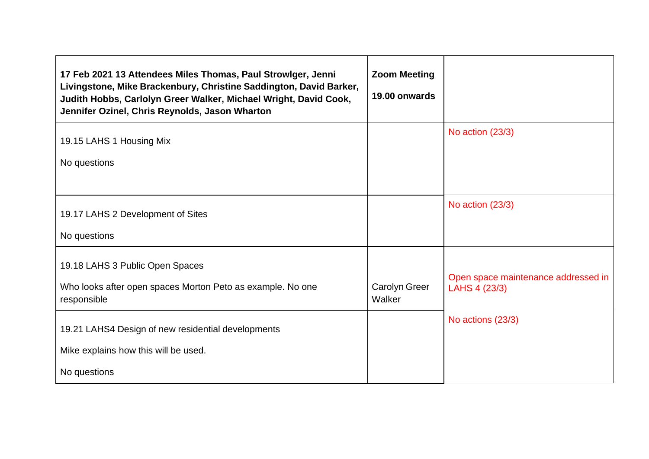| 17 Feb 2021 13 Attendees Miles Thomas, Paul Strowlger, Jenni<br>Livingstone, Mike Brackenbury, Christine Saddington, David Barker,<br>Judith Hobbs, Carlolyn Greer Walker, Michael Wright, David Cook,<br>Jennifer Ozinel, Chris Reynolds, Jason Wharton | <b>Zoom Meeting</b><br>19.00 onwards |                                     |
|----------------------------------------------------------------------------------------------------------------------------------------------------------------------------------------------------------------------------------------------------------|--------------------------------------|-------------------------------------|
| 19.15 LAHS 1 Housing Mix                                                                                                                                                                                                                                 |                                      | No action (23/3)                    |
| No questions                                                                                                                                                                                                                                             |                                      |                                     |
|                                                                                                                                                                                                                                                          |                                      |                                     |
| 19.17 LAHS 2 Development of Sites                                                                                                                                                                                                                        |                                      | No action (23/3)                    |
| No questions                                                                                                                                                                                                                                             |                                      |                                     |
| 19.18 LAHS 3 Public Open Spaces                                                                                                                                                                                                                          |                                      | Open space maintenance addressed in |
| Who looks after open spaces Morton Peto as example. No one<br>responsible                                                                                                                                                                                | <b>Carolyn Greer</b><br>Walker       | LAHS 4 (23/3)                       |
| 19.21 LAHS4 Design of new residential developments                                                                                                                                                                                                       |                                      | No actions (23/3)                   |
| Mike explains how this will be used.                                                                                                                                                                                                                     |                                      |                                     |
| No questions                                                                                                                                                                                                                                             |                                      |                                     |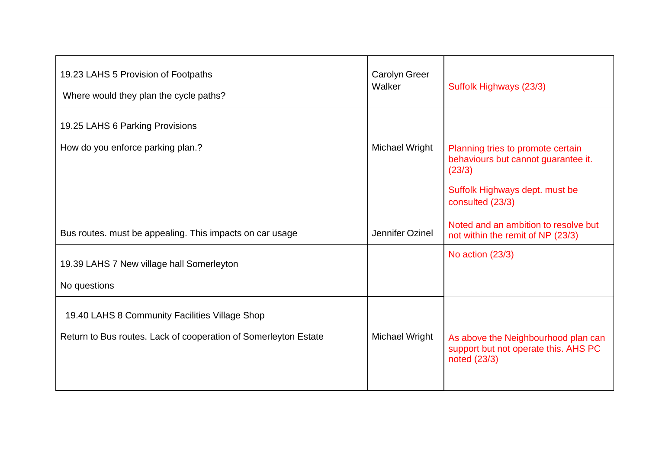| 19.23 LAHS 5 Provision of Footpaths<br>Where would they plan the cycle paths?                                     | Carolyn Greer<br>Walker | Suffolk Highways (23/3)                                                                                                                  |
|-------------------------------------------------------------------------------------------------------------------|-------------------------|------------------------------------------------------------------------------------------------------------------------------------------|
| 19.25 LAHS 6 Parking Provisions                                                                                   |                         |                                                                                                                                          |
| How do you enforce parking plan.?                                                                                 | Michael Wright          | Planning tries to promote certain<br>behaviours but cannot guarantee it.<br>(23/3)<br>Suffolk Highways dept. must be<br>consulted (23/3) |
| Bus routes. must be appealing. This impacts on car usage                                                          | Jennifer Ozinel         | Noted and an ambition to resolve but<br>not within the remit of NP (23/3)                                                                |
| 19.39 LAHS 7 New village hall Somerleyton<br>No questions                                                         |                         | No action (23/3)                                                                                                                         |
| 19.40 LAHS 8 Community Facilities Village Shop<br>Return to Bus routes. Lack of cooperation of Somerleyton Estate | <b>Michael Wright</b>   | As above the Neighbourhood plan can<br>support but not operate this. AHS PC<br>noted (23/3)                                              |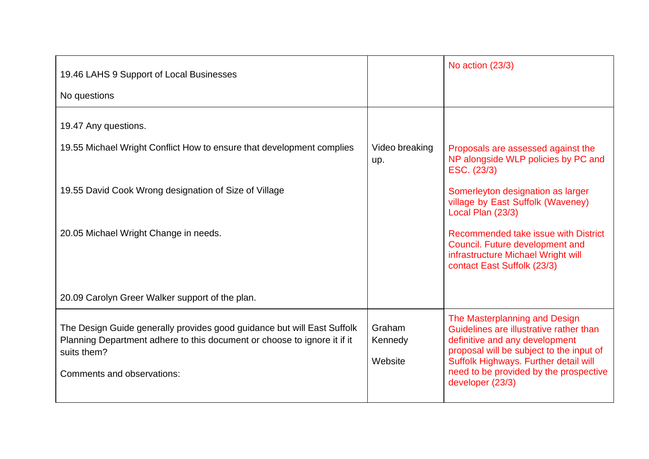| 19.46 LAHS 9 Support of Local Businesses<br>No questions                                                                                                                                         |                              | No action (23/3)                                                                                                                                                                                                                                              |
|--------------------------------------------------------------------------------------------------------------------------------------------------------------------------------------------------|------------------------------|---------------------------------------------------------------------------------------------------------------------------------------------------------------------------------------------------------------------------------------------------------------|
| 19.47 Any questions.<br>19.55 Michael Wright Conflict How to ensure that development complies<br>19.55 David Cook Wrong designation of Size of Village                                           | Video breaking<br>up.        | Proposals are assessed against the<br>NP alongside WLP policies by PC and<br>ESC. (23/3)<br>Somerleyton designation as larger<br>village by East Suffolk (Waveney)                                                                                            |
| 20.05 Michael Wright Change in needs.<br>20.09 Carolyn Greer Walker support of the plan.                                                                                                         |                              | Local Plan (23/3)<br>Recommended take issue with District<br>Council. Future development and<br>infrastructure Michael Wright will<br>contact East Suffolk (23/3)                                                                                             |
| The Design Guide generally provides good guidance but will East Suffolk<br>Planning Department adhere to this document or choose to ignore it if it<br>suits them?<br>Comments and observations: | Graham<br>Kennedy<br>Website | The Masterplanning and Design<br>Guidelines are illustrative rather than<br>definitive and any development<br>proposal will be subject to the input of<br>Suffolk Highways. Further detail will<br>need to be provided by the prospective<br>developer (23/3) |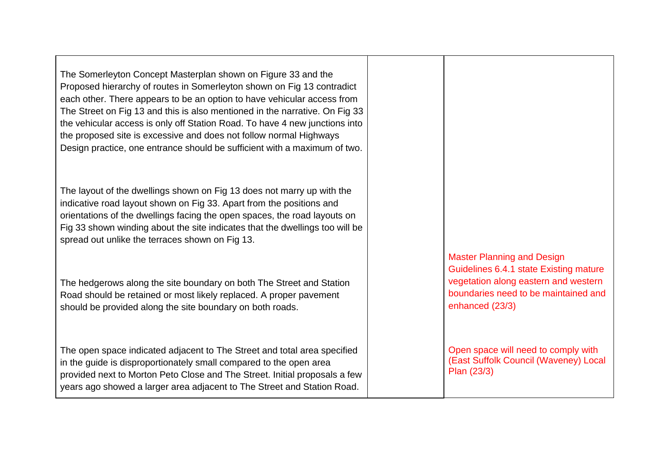The Somerleyton Concept Masterplan shown on Figure 33 and the Proposed hierarchy of routes in Somerleyton shown on Fig 13 contradict each other. There appears to be an option to have vehicular access from The Street on Fig 13 and this is also mentioned in the narrative. On Fig 33 the vehicular access is only off Station Road. To have 4 new junctions into the proposed site is excessive and does not follow normal Highways Design practice, one entrance should be sufficient with a maximum of two.

The layout of the dwellings shown on Fig 13 does not marry up with the indicative road layout shown on Fig 33. Apart from the positions and orientations of the dwellings facing the open spaces, the road layouts on Fig 33 shown winding about the site indicates that the dwellings too will be spread out unlike the terraces shown on Fig 13.

The hedgerows along the site boundary on both The Street and Station Road should be retained or most likely replaced. A proper pavement should be provided along the site boundary on both roads.

The open space indicated adjacent to The Street and total area specified in the guide is disproportionately small compared to the open area provided next to Morton Peto Close and The Street. Initial proposals a few years ago showed a larger area adjacent to The Street and Station Road.

Master Planning and Design Guidelines 6.4.1 state Existing mature vegetation along eastern and western boundaries need to be maintained and enhanced (23/3)

Open space will need to comply with (East Suffolk Council (Waveney) Local Plan (23/3)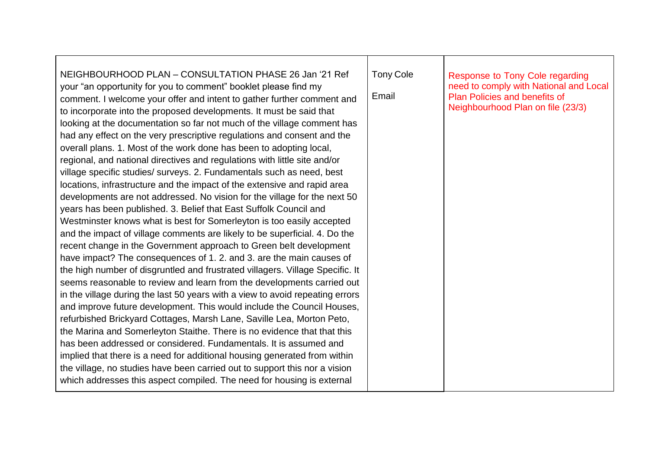| NEIGHBOURHOOD PLAN - CONSULTATION PHASE 26 Jan '21 Ref<br>your "an opportunity for you to comment" booklet please find my<br>comment. I welcome your offer and intent to gather further comment and<br>to incorporate into the proposed developments. It must be said that<br>looking at the documentation so far not much of the village comment has<br>had any effect on the very prescriptive regulations and consent and the<br>overall plans. 1. Most of the work done has been to adopting local,<br>regional, and national directives and regulations with little site and/or<br>village specific studies/ surveys. 2. Fundamentals such as need, best<br>locations, infrastructure and the impact of the extensive and rapid area<br>developments are not addressed. No vision for the village for the next 50<br>years has been published. 3. Belief that East Suffolk Council and<br>Westminster knows what is best for Somerleyton is too easily accepted<br>and the impact of village comments are likely to be superficial. 4. Do the<br>recent change in the Government approach to Green belt development<br>have impact? The consequences of 1.2. and 3. are the main causes of<br>the high number of disgruntled and frustrated villagers. Village Specific. It<br>seems reasonable to review and learn from the developments carried out<br>in the village during the last 50 years with a view to avoid repeating errors<br>and improve future development. This would include the Council Houses,<br>refurbished Brickyard Cottages, Marsh Lane, Saville Lea, Morton Peto,<br>the Marina and Somerleyton Staithe. There is no evidence that that this<br>has been addressed or considered. Fundamentals. It is assumed and<br>implied that there is a need for additional housing generated from within<br>the village, no studies have been carried out to support this nor a vision | <b>Tony Cole</b><br>Email | <b>Response to Tony Cole regarding</b><br>need to comply with National and Local<br><b>Plan Policies and benefits of</b><br>Neighbourhood Plan on file (23/3) |
|-----------------------------------------------------------------------------------------------------------------------------------------------------------------------------------------------------------------------------------------------------------------------------------------------------------------------------------------------------------------------------------------------------------------------------------------------------------------------------------------------------------------------------------------------------------------------------------------------------------------------------------------------------------------------------------------------------------------------------------------------------------------------------------------------------------------------------------------------------------------------------------------------------------------------------------------------------------------------------------------------------------------------------------------------------------------------------------------------------------------------------------------------------------------------------------------------------------------------------------------------------------------------------------------------------------------------------------------------------------------------------------------------------------------------------------------------------------------------------------------------------------------------------------------------------------------------------------------------------------------------------------------------------------------------------------------------------------------------------------------------------------------------------------------------------------------------------------------------------------------------------------------------------------|---------------------------|---------------------------------------------------------------------------------------------------------------------------------------------------------------|
| which addresses this aspect compiled. The need for housing is external                                                                                                                                                                                                                                                                                                                                                                                                                                                                                                                                                                                                                                                                                                                                                                                                                                                                                                                                                                                                                                                                                                                                                                                                                                                                                                                                                                                                                                                                                                                                                                                                                                                                                                                                                                                                                                    |                           |                                                                                                                                                               |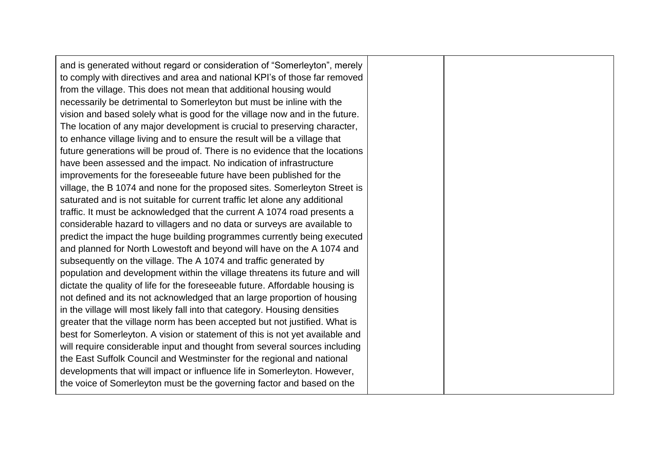| and is generated without regard or consideration of "Somerleyton", merely<br>to comply with directives and area and national KPI's of those far removed<br>from the village. This does not mean that additional housing would<br>necessarily be detrimental to Somerleyton but must be inline with the<br>vision and based solely what is good for the village now and in the future.<br>The location of any major development is crucial to preserving character,<br>to enhance village living and to ensure the result will be a village that<br>future generations will be proud of. There is no evidence that the locations<br>have been assessed and the impact. No indication of infrastructure<br>improvements for the foreseeable future have been published for the<br>village, the B 1074 and none for the proposed sites. Somerleyton Street is<br>saturated and is not suitable for current traffic let alone any additional<br>traffic. It must be acknowledged that the current A 1074 road presents a<br>considerable hazard to villagers and no data or surveys are available to<br>predict the impact the huge building programmes currently being executed |  |
|------------------------------------------------------------------------------------------------------------------------------------------------------------------------------------------------------------------------------------------------------------------------------------------------------------------------------------------------------------------------------------------------------------------------------------------------------------------------------------------------------------------------------------------------------------------------------------------------------------------------------------------------------------------------------------------------------------------------------------------------------------------------------------------------------------------------------------------------------------------------------------------------------------------------------------------------------------------------------------------------------------------------------------------------------------------------------------------------------------------------------------------------------------------------------|--|
| subsequently on the village. The A 1074 and traffic generated by<br>population and development within the village threatens its future and will<br>dictate the quality of life for the foreseeable future. Affordable housing is<br>not defined and its not acknowledged that an large proportion of housing<br>in the village will most likely fall into that category. Housing densities<br>greater that the village norm has been accepted but not justified. What is<br>best for Somerleyton. A vision or statement of this is not yet available and                                                                                                                                                                                                                                                                                                                                                                                                                                                                                                                                                                                                                     |  |
| will require considerable input and thought from several sources including<br>the East Suffolk Council and Westminster for the regional and national<br>developments that will impact or influence life in Somerleyton. However,<br>the voice of Somerleyton must be the governing factor and based on the                                                                                                                                                                                                                                                                                                                                                                                                                                                                                                                                                                                                                                                                                                                                                                                                                                                                   |  |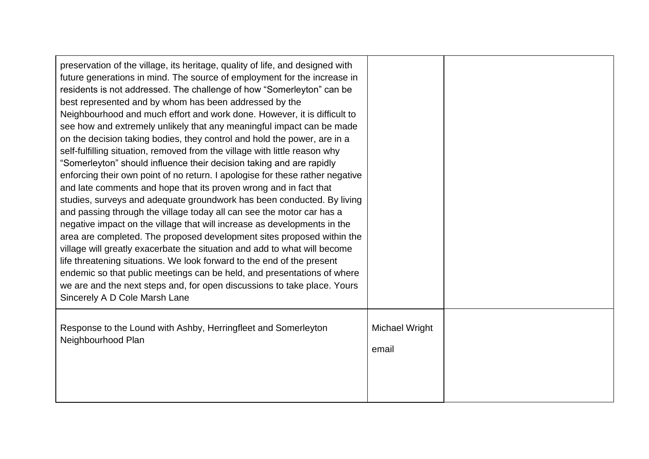| preservation of the village, its heritage, quality of life, and designed with<br>future generations in mind. The source of employment for the increase in<br>residents is not addressed. The challenge of how "Somerleyton" can be<br>best represented and by whom has been addressed by the<br>Neighbourhood and much effort and work done. However, it is difficult to<br>see how and extremely unlikely that any meaningful impact can be made<br>on the decision taking bodies, they control and hold the power, are in a<br>self-fulfilling situation, removed from the village with little reason why<br>"Somerleyton" should influence their decision taking and are rapidly<br>enforcing their own point of no return. I apologise for these rather negative<br>and late comments and hope that its proven wrong and in fact that<br>studies, surveys and adequate groundwork has been conducted. By living<br>and passing through the village today all can see the motor car has a<br>negative impact on the village that will increase as developments in the<br>area are completed. The proposed development sites proposed within the<br>village will greatly exacerbate the situation and add to what will become<br>life threatening situations. We look forward to the end of the present<br>endemic so that public meetings can be held, and presentations of where<br>we are and the next steps and, for open discussions to take place. Yours<br>Sincerely A D Cole Marsh Lane |                         |  |
|---------------------------------------------------------------------------------------------------------------------------------------------------------------------------------------------------------------------------------------------------------------------------------------------------------------------------------------------------------------------------------------------------------------------------------------------------------------------------------------------------------------------------------------------------------------------------------------------------------------------------------------------------------------------------------------------------------------------------------------------------------------------------------------------------------------------------------------------------------------------------------------------------------------------------------------------------------------------------------------------------------------------------------------------------------------------------------------------------------------------------------------------------------------------------------------------------------------------------------------------------------------------------------------------------------------------------------------------------------------------------------------------------------------------------------------------------------------------------------------------------|-------------------------|--|
| Response to the Lound with Ashby, Herringfleet and Somerleyton<br>Neighbourhood Plan                                                                                                                                                                                                                                                                                                                                                                                                                                                                                                                                                                                                                                                                                                                                                                                                                                                                                                                                                                                                                                                                                                                                                                                                                                                                                                                                                                                                              | Michael Wright<br>email |  |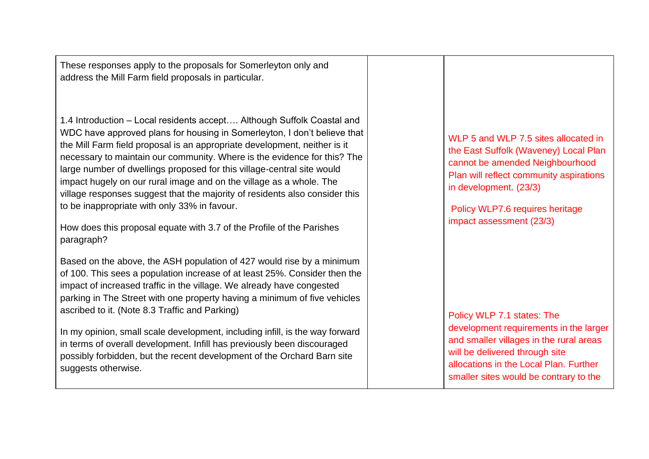These responses apply to the proposals for Somerleyton only and address the Mill Farm field proposals in particular.

1.4 Introduction – Local residents accept…. Although Suffolk Coastal and WDC have approved plans for housing in Somerleyton, I don't believe that the Mill Farm field proposal is an appropriate development, neither is it necessary to maintain our community. Where is the evidence for this? The large number of dwellings proposed for this village-central site would impact hugely on our rural image and on the village as a whole. The village responses suggest that the majority of residents also consider this to be inappropriate with only 33% in favour.

How does this proposal equate with 3.7 of the Profile of the Parishes paragraph?

Based on the above, the ASH population of 427 would rise by a minimum of 100. This sees a population increase of at least 25%. Consider then the impact of increased traffic in the village. We already have congested parking in The Street with one property having a minimum of five vehicles ascribed to it. (Note 8.3 Traffic and Parking)

In my opinion, small scale development, including infill, is the way forward in terms of overall development. Infill has previously been discouraged possibly forbidden, but the recent development of the Orchard Barn site suggests otherwise.

#### WLP 5 and WLP 7.5 sites allocated in the East Suffolk (Waveney) Local Plan cannot be amended Neighbourhood Plan will reflect community aspirations in development. (23/3)

Policy WLP7.6 requires heritage impact assessment (23/3)

Policy WLP 7.1 states: The development requirements in the larger and smaller villages in the rural areas will be delivered through site allocations in the Local Plan. Further smaller sites would be contrary to the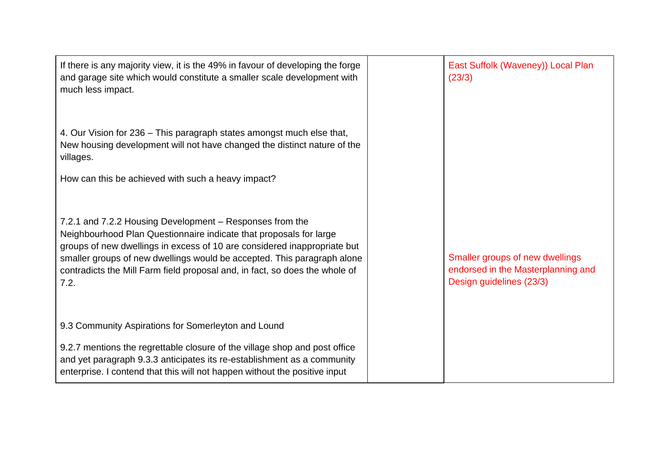| If there is any majority view, it is the 49% in favour of developing the forge<br>and garage site which would constitute a smaller scale development with<br>much less impact.                                                                                                                                                                                               | East Suffolk (Waveney)) Local Plan<br>(23/3)                                                      |
|------------------------------------------------------------------------------------------------------------------------------------------------------------------------------------------------------------------------------------------------------------------------------------------------------------------------------------------------------------------------------|---------------------------------------------------------------------------------------------------|
| 4. Our Vision for 236 – This paragraph states amongst much else that,<br>New housing development will not have changed the distinct nature of the<br>villages.<br>How can this be achieved with such a heavy impact?                                                                                                                                                         |                                                                                                   |
| 7.2.1 and 7.2.2 Housing Development – Responses from the<br>Neighbourhood Plan Questionnaire indicate that proposals for large<br>groups of new dwellings in excess of 10 are considered inappropriate but<br>smaller groups of new dwellings would be accepted. This paragraph alone<br>contradicts the Mill Farm field proposal and, in fact, so does the whole of<br>7.2. | Smaller groups of new dwellings<br>endorsed in the Masterplanning and<br>Design guidelines (23/3) |
| 9.3 Community Aspirations for Somerleyton and Lound<br>9.2.7 mentions the regrettable closure of the village shop and post office<br>and yet paragraph 9.3.3 anticipates its re-establishment as a community<br>enterprise. I contend that this will not happen without the positive input                                                                                   |                                                                                                   |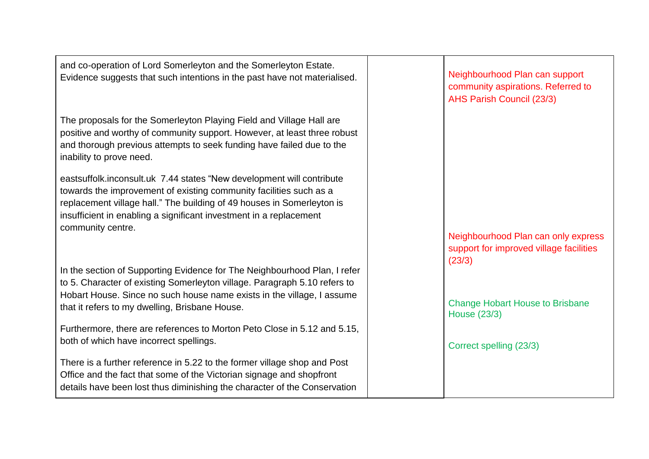| and co-operation of Lord Somerleyton and the Somerleyton Estate.<br>Evidence suggests that such intentions in the past have not materialised.                                                                                                                                                                    | Neighbourhood Plan can support<br>community aspirations. Referred to<br>AHS Parish Council (23/3) |
|------------------------------------------------------------------------------------------------------------------------------------------------------------------------------------------------------------------------------------------------------------------------------------------------------------------|---------------------------------------------------------------------------------------------------|
| The proposals for the Somerleyton Playing Field and Village Hall are<br>positive and worthy of community support. However, at least three robust<br>and thorough previous attempts to seek funding have failed due to the<br>inability to prove need.                                                            |                                                                                                   |
| eastsuffolk.inconsult.uk 7.44 states "New development will contribute<br>towards the improvement of existing community facilities such as a<br>replacement village hall." The building of 49 houses in Somerleyton is<br>insufficient in enabling a significant investment in a replacement<br>community centre. |                                                                                                   |
|                                                                                                                                                                                                                                                                                                                  | Neighbourhood Plan can only express<br>support for improved village facilities<br>(23/3)          |
| In the section of Supporting Evidence for The Neighbourhood Plan, I refer<br>to 5. Character of existing Somerleyton village. Paragraph 5.10 refers to<br>Hobart House. Since no such house name exists in the village, I assume<br>that it refers to my dwelling, Brisbane House.                               | <b>Change Hobart House to Brisbane</b>                                                            |
| Furthermore, there are references to Morton Peto Close in 5.12 and 5.15,<br>both of which have incorrect spellings.                                                                                                                                                                                              | House (23/3)<br>Correct spelling (23/3)                                                           |
| There is a further reference in 5.22 to the former village shop and Post<br>Office and the fact that some of the Victorian signage and shopfront<br>details have been lost thus diminishing the character of the Conservation                                                                                    |                                                                                                   |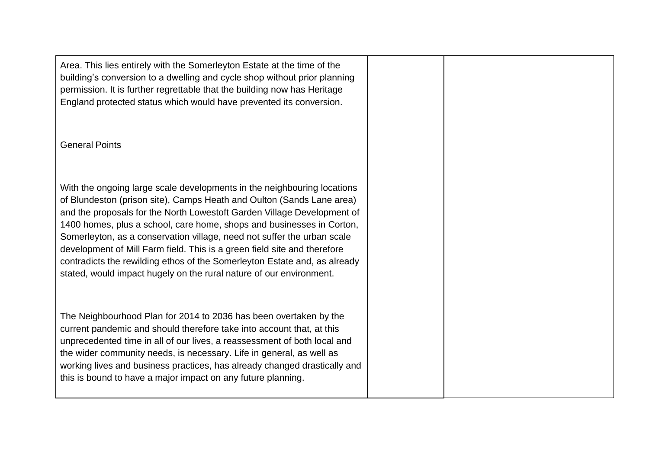Area. This lies entirely with the Somerleyton Estate at the time of the building's conversion to a dwelling and cycle shop without prior planning permission. It is further regrettable that the building now has Heritage England protected status which would have prevented its conversion. General Points With the ongoing large scale developments in the neighbouring locations of Blundeston (prison site), Camps Heath and Oulton (Sands Lane area) and the proposals for the North Lowestoft Garden Village Development of 1400 homes, plus a school, care home, shops and businesses in Corton, Somerleyton, as a conservation village, need not suffer the urban scale development of Mill Farm field. This is a green field site and therefore contradicts the rewilding ethos of the Somerleyton Estate and, as already stated, would impact hugely on the rural nature of our environment. The Neighbourhood Plan for 2014 to 2036 has been overtaken by the current pandemic and should therefore take into account that, at this unprecedented time in all of our lives, a reassessment of both local and the wider community needs, is necessary. Life in general, as well as working lives and business practices, has already changed drastically and this is bound to have a major impact on any future planning.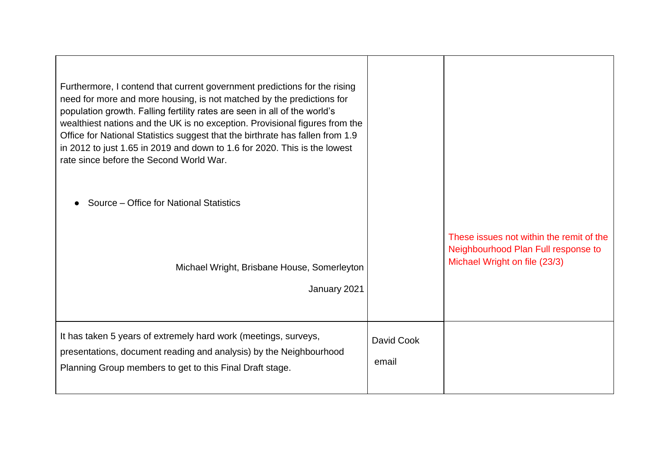| Furthermore, I contend that current government predictions for the rising<br>need for more and more housing, is not matched by the predictions for<br>population growth. Falling fertility rates are seen in all of the world's<br>wealthiest nations and the UK is no exception. Provisional figures from the<br>Office for National Statistics suggest that the birthrate has fallen from 1.9<br>in 2012 to just 1.65 in 2019 and down to 1.6 for 2020. This is the lowest<br>rate since before the Second World War.<br>Source – Office for National Statistics |                     |                                                                                                                  |
|--------------------------------------------------------------------------------------------------------------------------------------------------------------------------------------------------------------------------------------------------------------------------------------------------------------------------------------------------------------------------------------------------------------------------------------------------------------------------------------------------------------------------------------------------------------------|---------------------|------------------------------------------------------------------------------------------------------------------|
| Michael Wright, Brisbane House, Somerleyton<br>January 2021                                                                                                                                                                                                                                                                                                                                                                                                                                                                                                        |                     | These issues not within the remit of the<br>Neighbourhood Plan Full response to<br>Michael Wright on file (23/3) |
| It has taken 5 years of extremely hard work (meetings, surveys,<br>presentations, document reading and analysis) by the Neighbourhood<br>Planning Group members to get to this Final Draft stage.                                                                                                                                                                                                                                                                                                                                                                  | David Cook<br>email |                                                                                                                  |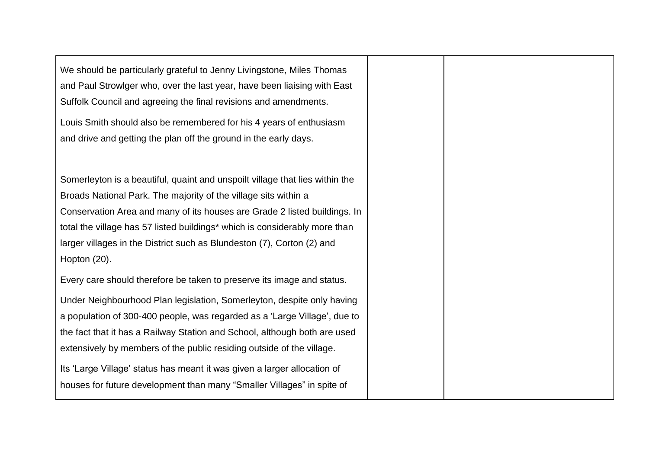| We should be particularly grateful to Jenny Livingstone, Miles Thomas<br>and Paul Strowlger who, over the last year, have been liaising with East<br>Suffolk Council and agreeing the final revisions and amendments.<br>Louis Smith should also be remembered for his 4 years of enthusiasm |
|----------------------------------------------------------------------------------------------------------------------------------------------------------------------------------------------------------------------------------------------------------------------------------------------|
| and drive and getting the plan off the ground in the early days.                                                                                                                                                                                                                             |
| Somerleyton is a beautiful, quaint and unspoilt village that lies within the                                                                                                                                                                                                                 |
| Broads National Park. The majority of the village sits within a                                                                                                                                                                                                                              |
| Conservation Area and many of its houses are Grade 2 listed buildings. In                                                                                                                                                                                                                    |
| total the village has 57 listed buildings* which is considerably more than                                                                                                                                                                                                                   |
| larger villages in the District such as Blundeston (7), Corton (2) and                                                                                                                                                                                                                       |
| Hopton (20).                                                                                                                                                                                                                                                                                 |
| Every care should therefore be taken to preserve its image and status.                                                                                                                                                                                                                       |
| Under Neighbourhood Plan legislation, Somerleyton, despite only having                                                                                                                                                                                                                       |
| a population of 300-400 people, was regarded as a 'Large Village', due to                                                                                                                                                                                                                    |
| the fact that it has a Railway Station and School, although both are used                                                                                                                                                                                                                    |
| extensively by members of the public residing outside of the village.                                                                                                                                                                                                                        |
| Its 'Large Village' status has meant it was given a larger allocation of                                                                                                                                                                                                                     |
| houses for future development than many "Smaller Villages" in spite of                                                                                                                                                                                                                       |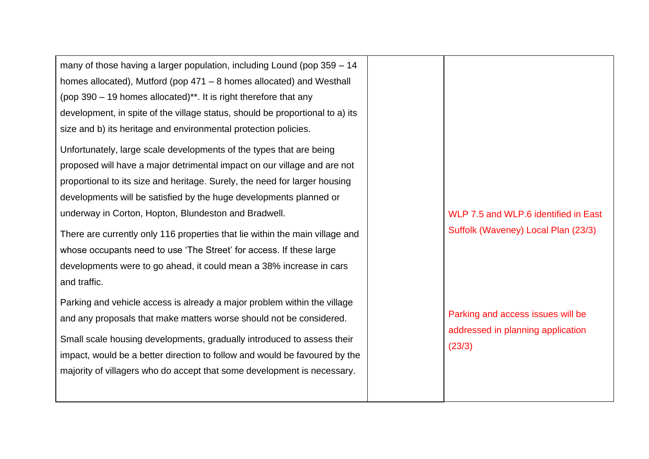many of those having a larger population, including Lound (pop 359 – 14 homes allocated), Mutford (pop 471 – 8 homes allocated) and Westhall (pop 390 – 19 homes allocated)\*\*. It is right therefore that any development, in spite of the village status, should be proportional to a) its size and b) its heritage and environmental protection policies.

Unfortunately, large scale developments of the types that are being proposed will have a major detrimental impact on our village and are not proportional to its size and heritage. Surely, the need for larger housing developments will be satisfied by the huge developments planned or underway in Corton, Hopton, Blundeston and Bradwell.

There are currently only 116 properties that lie within the main village and whose occupants need to use 'The Street' for access. If these large developments were to go ahead, it could mean a 38% increase in cars and traffic.

Parking and vehicle access is already a major problem within the village and any proposals that make matters worse should not be considered.

Small scale housing developments, gradually introduced to assess their impact, would be a better direction to follow and would be favoured by the majority of villagers who do accept that some development is necessary.

WLP 7.5 and WLP.6 identified in Fast Suffolk (Waveney) Local Plan (23/3)

Parking and access issues will be addressed in planning application (23/3)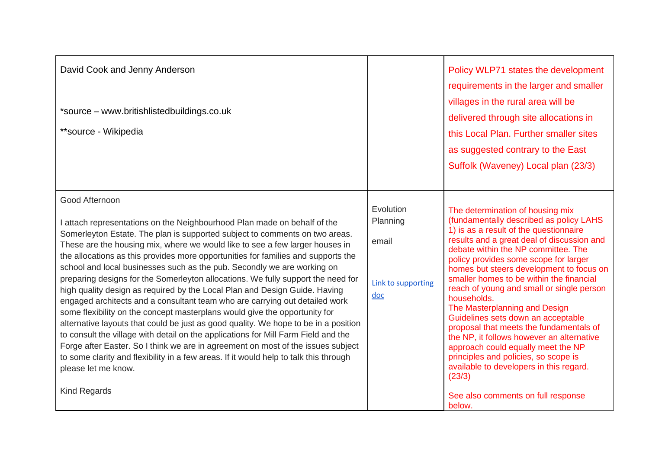| David Cook and Jenny Anderson<br>*source – www.britishlistedbuildings.co.uk<br>**source - Wikipedia                                                                                                                                                                                                                                                                                                                                                                                                                                                                                                                                                                                                                                                                                                                                                                                                                                                                                                                                                                                                                                                       |                                                             | Policy WLP71 states the development<br>requirements in the larger and smaller<br>villages in the rural area will be<br>delivered through site allocations in<br>this Local Plan. Further smaller sites<br>as suggested contrary to the East<br>Suffolk (Waveney) Local plan (23/3)                                                                                                                                                                                                                                                                                                                                                                                                                                                                        |
|-----------------------------------------------------------------------------------------------------------------------------------------------------------------------------------------------------------------------------------------------------------------------------------------------------------------------------------------------------------------------------------------------------------------------------------------------------------------------------------------------------------------------------------------------------------------------------------------------------------------------------------------------------------------------------------------------------------------------------------------------------------------------------------------------------------------------------------------------------------------------------------------------------------------------------------------------------------------------------------------------------------------------------------------------------------------------------------------------------------------------------------------------------------|-------------------------------------------------------------|-----------------------------------------------------------------------------------------------------------------------------------------------------------------------------------------------------------------------------------------------------------------------------------------------------------------------------------------------------------------------------------------------------------------------------------------------------------------------------------------------------------------------------------------------------------------------------------------------------------------------------------------------------------------------------------------------------------------------------------------------------------|
| Good Afternoon<br>I attach representations on the Neighbourhood Plan made on behalf of the<br>Somerleyton Estate. The plan is supported subject to comments on two areas.<br>These are the housing mix, where we would like to see a few larger houses in<br>the allocations as this provides more opportunities for families and supports the<br>school and local businesses such as the pub. Secondly we are working on<br>preparing designs for the Somerleyton allocations. We fully support the need for<br>high quality design as required by the Local Plan and Design Guide. Having<br>engaged architects and a consultant team who are carrying out detailed work<br>some flexibility on the concept masterplans would give the opportunity for<br>alternative layouts that could be just as good quality. We hope to be in a position<br>to consult the village with detail on the applications for Mill Farm Field and the<br>Forge after Easter. So I think we are in agreement on most of the issues subject<br>to some clarity and flexibility in a few areas. If it would help to talk this through<br>please let me know.<br>Kind Regards | Evolution<br>Planning<br>email<br>Link to supporting<br>doc | The determination of housing mix<br>(fundamentally described as policy LAHS<br>1) is as a result of the questionnaire<br>results and a great deal of discussion and<br>debate within the NP committee. The<br>policy provides some scope for larger<br>homes but steers development to focus on<br>smaller homes to be within the financial<br>reach of young and small or single person<br>households.<br>The Masterplanning and Design<br>Guidelines sets down an acceptable<br>proposal that meets the fundamentals of<br>the NP, it follows however an alternative<br>approach could equally meet the NP<br>principles and policies, so scope is<br>available to developers in this regard.<br>(23/3)<br>See also comments on full response<br>below. |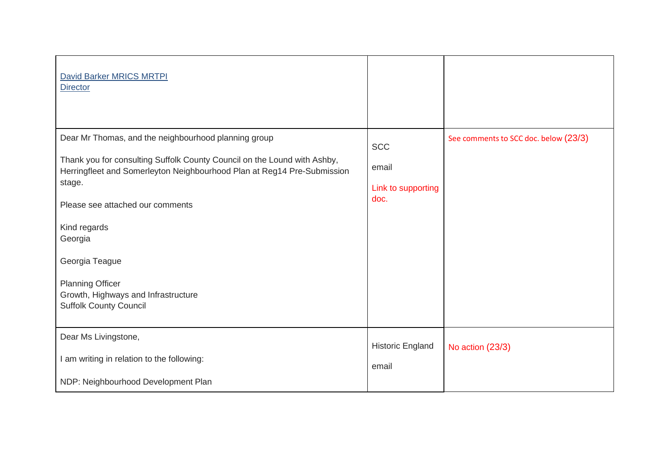| <b>David Barker MRICS MRTPI</b><br><b>Director</b>                                                                                                                                                                                                                                                                                                                                                        |                                                   |                                       |
|-----------------------------------------------------------------------------------------------------------------------------------------------------------------------------------------------------------------------------------------------------------------------------------------------------------------------------------------------------------------------------------------------------------|---------------------------------------------------|---------------------------------------|
| Dear Mr Thomas, and the neighbourhood planning group<br>Thank you for consulting Suffolk County Council on the Lound with Ashby,<br>Herringfleet and Somerleyton Neighbourhood Plan at Reg14 Pre-Submission<br>stage.<br>Please see attached our comments<br>Kind regards<br>Georgia<br>Georgia Teague<br><b>Planning Officer</b><br>Growth, Highways and Infrastructure<br><b>Suffolk County Council</b> | <b>SCC</b><br>email<br>Link to supporting<br>doc. | See comments to SCC doc. below (23/3) |
| Dear Ms Livingstone,<br>I am writing in relation to the following:<br>NDP: Neighbourhood Development Plan                                                                                                                                                                                                                                                                                                 | Historic England<br>email                         | No action (23/3)                      |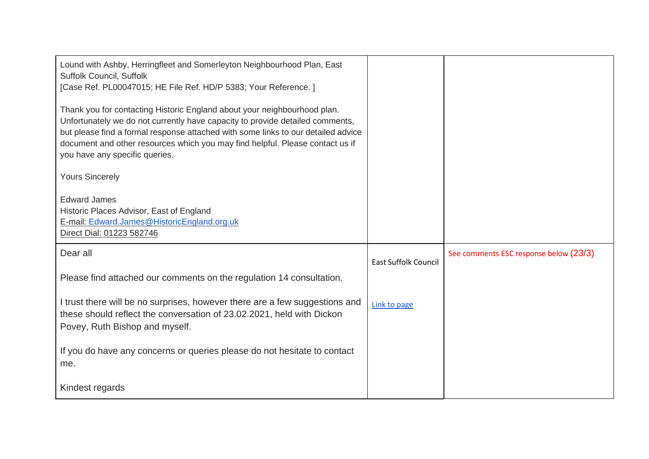| Lound with Ashby, Herringfleet and Somerleyton Neighbourhood Plan, East<br>Suffolk Council, Suffolk<br>[Case Ref. PL00047015; HE File Ref. HD/P 5383; Your Reference. ]                                                                                                                                                                                           |                             |                                        |
|-------------------------------------------------------------------------------------------------------------------------------------------------------------------------------------------------------------------------------------------------------------------------------------------------------------------------------------------------------------------|-----------------------------|----------------------------------------|
| Thank you for contacting Historic England about your neighbourhood plan.<br>Unfortunately we do not currently have capacity to provide detailed comments,<br>but please find a formal response attached with some links to our detailed advice<br>document and other resources which you may find helpful. Please contact us if<br>you have any specific queries. |                             |                                        |
| <b>Yours Sincerely</b>                                                                                                                                                                                                                                                                                                                                            |                             |                                        |
| <b>Edward James</b><br>Historic Places Advisor, East of England<br>E-mail: Edward.James@HistoricEngland.org.uk<br>Direct Dial: 01223 582746                                                                                                                                                                                                                       |                             |                                        |
| Dear all                                                                                                                                                                                                                                                                                                                                                          | <b>East Suffolk Council</b> | See comments ESC response below (23/3) |
| Please find attached our comments on the regulation 14 consultation.                                                                                                                                                                                                                                                                                              |                             |                                        |
| I trust there will be no surprises, however there are a few suggestions and<br>these should reflect the conversation of 23.02.2021, held with Dickon<br>Povey, Ruth Bishop and myself.                                                                                                                                                                            | Link to page                |                                        |
| If you do have any concerns or queries please do not hesitate to contact<br>me.                                                                                                                                                                                                                                                                                   |                             |                                        |
| Kindest regards                                                                                                                                                                                                                                                                                                                                                   |                             |                                        |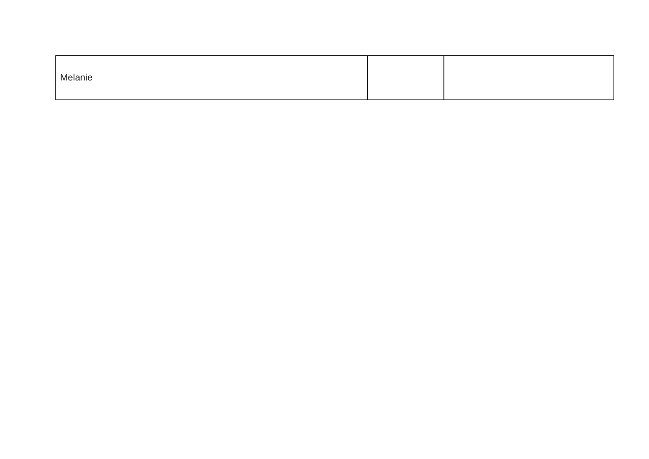| Melanie |  |
|---------|--|
|         |  |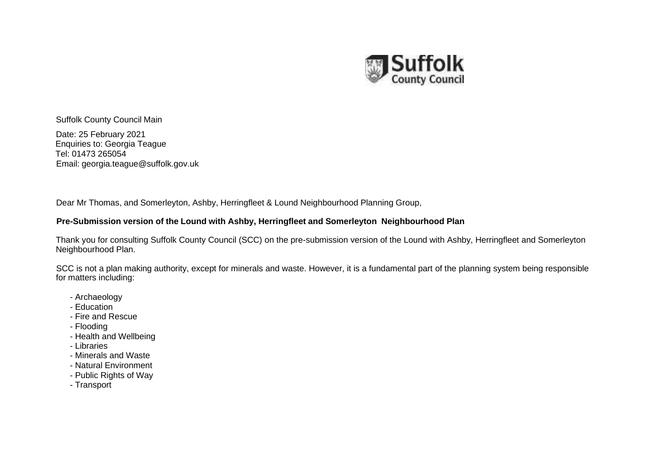

Suffolk County Council Main

Date: 25 February 2021 Enquiries to: Georgia Teague Tel: 01473 265054 Email: [georgia.teague@suffolk.gov.uk](mailto:georgia.teague@suffolk.gov.uk)

Dear Mr Thomas, and Somerleyton, Ashby, Herringfleet & Lound Neighbourhood Planning Group,

## **Pre-Submission version of the Lound with Ashby, Herringfleet and Somerleyton Neighbourhood Plan**

Thank you for consulting Suffolk County Council (SCC) on the pre-submission version of the Lound with Ashby, Herringfleet and Somerleyton Neighbourhood Plan.

SCC is not a plan making authority, except for minerals and waste. However, it is a fundamental part of the planning system being responsible for matters including:

- Archaeology
- Education
- Fire and Rescue
- Flooding
- Health and Wellbeing
- Libraries
- Minerals and Waste
- Natural Environment
- Public Rights of Way
- Transport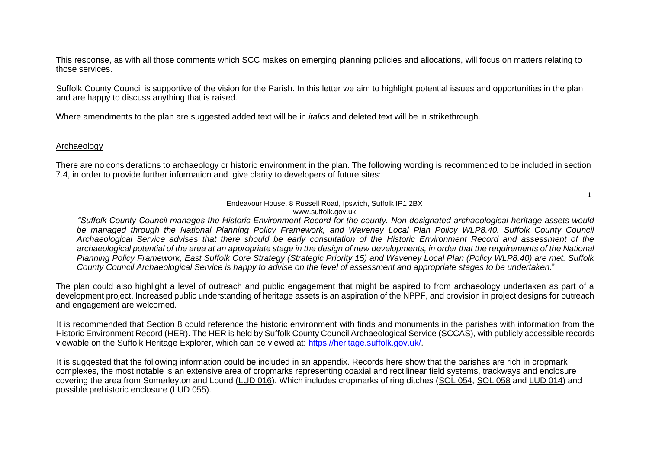This response, as with all those comments which SCC makes on emerging planning policies and allocations, will focus on matters relating to those services.

Suffolk County Council is supportive of the vision for the Parish. In this letter we aim to highlight potential issues and opportunities in the plan and are happy to discuss anything that is raised.

Where amendments to the plan are suggested added text will be in *italics* and deleted text will be in strikethrough.

#### Archaeology

There are no considerations to archaeology or historic environment in the plan. The following wording is recommended to be included in section 7.4, in order to provide further information and give clarity to developers of future sites:

1

#### Endeavour House, 8 Russell Road, Ipswich, Suffolk IP1 2BX [www.suffolk.gov.uk](http://www.suffolk.gov.uk/)

*"Suffolk County Council manages the Historic Environment Record for the county. Non designated archaeological heritage assets would be managed through the National Planning Policy Framework, and Waveney Local Plan Policy WLP8.40. Suffolk County Council Archaeological Service advises that there should be early consultation of the Historic Environment Record and assessment of the* archaeological potential of the area at an appropriate stage in the design of new developments, in order that the requirements of the National *Planning Policy Framework, East Suffolk Core Strategy (Strategic Priority 15) and Waveney Local Plan (Policy WLP8.40) are met. Suffolk* County Council Archaeological Service is happy to advise on the level of assessment and appropriate stages to be undertaken."

The plan could also highlight a level of outreach and public engagement that might be aspired to from archaeology undertaken as part of a development project. Increased public understanding of heritage assets is an aspiration of the NPPF, and provision in project designs for outreach and engagement are welcomed.

It is recommended that Section 8 could reference the historic environment with finds and monuments in the parishes with information from the Historic Environment Record (HER). The HER is held by Suffolk County Council Archaeological Service (SCCAS), with publicly accessible records viewable on the Suffolk Heritage Explorer, which can be viewed at: https://heritage.suffolk.gov.uk/.

It is suggested that the following information could be included in an appendix. Records here show that the parishes are rich in cropmark complexes, the most notable is an extensive area of cropmarks representing coaxial and rectilinear field systems, trackways and enclosure covering the area from Somerleyton and Lound (LUD 016). Which includes cropmarks of ring ditches (SOL 054, SOL 058 and LUD 014) and possible prehistoric enclosure (LUD 055).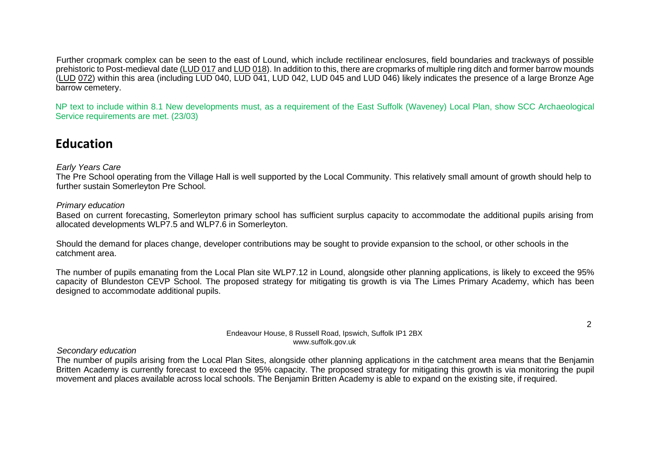Further cropmark complex can be seen to the east of Lound, which include rectilinear enclosures, field boundaries and trackways of possible prehistoric to Post-medieval date (LUD 017 and LUD 018). In addition to this, there are cropmarks of multiple ring ditch and former barrow mounds (LUD 072) within this area (including LUD 040, LUD 041, LUD 042, LUD 045 and LUD 046) likely indicates the presence of a large Bronze Age barrow cemetery.

NP text to include within 8.1 New developments must, as a requirement of the East Suffolk (Waveney) Local Plan, show SCC Archaeological Service requirements are met. (23/03)

# **Education**

## *Early Years Care*

The Pre School operating from the Village Hall is well supported by the Local Community. This relatively small amount of growth should help to further sustain Somerleyton Pre School.

#### *Primary education*

Based on current forecasting, Somerleyton primary school has sufficient surplus capacity to accommodate the additional pupils arising from allocated developments WLP7.5 and WLP7.6 in Somerleyton.

Should the demand for places change, developer contributions may be sought to provide expansion to the school, or other schools in the catchment area.

The number of pupils emanating from the Local Plan site WLP7.12 in Lound, alongside other planning applications, is likely to exceed the 95% capacity of Blundeston CEVP School. The proposed strategy for mitigating tis growth is via The Limes Primary Academy, which has been designed to accommodate additional pupils.

#### Endeavour House, 8 Russell Road, Ipswich, Suffolk IP1 2BX [www.suffolk.gov.uk](http://www.suffolk.gov.uk/)

#### *Secondary education*

The number of pupils arising from the Local Plan Sites, alongside other planning applications in the catchment area means that the Benjamin Britten Academy is currently forecast to exceed the 95% capacity. The proposed strategy for mitigating this growth is via monitoring the pupil movement and places available across local schools. The Benjamin Britten Academy is able to expand on the existing site, if required.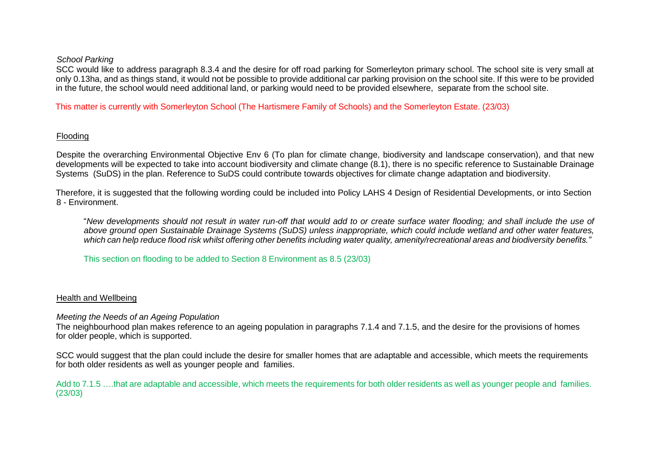#### *School Parking*

SCC would like to address paragraph 8.3.4 and the desire for off road parking for Somerleyton primary school. The school site is very small at only 0.13ha, and as things stand, it would not be possible to provide additional car parking provision on the school site. If this were to be provided in the future, the school would need additional land, or parking would need to be provided elsewhere, separate from the school site.

This matter is currently with Somerleyton School (The Hartismere Family of Schools) and the Somerleyton Estate. (23/03)

#### Flooding

Despite the overarching Environmental Objective Env 6 (To plan for climate change, biodiversity and landscape conservation), and that new developments will be expected to take into account biodiversity and climate change (8.1), there is no specific reference to Sustainable Drainage Systems (SuDS) in the plan. Reference to SuDS could contribute towards objectives for climate change adaptation and biodiversity.

Therefore, it is suggested that the following wording could be included into Policy LAHS 4 Design of Residential Developments, or into Section 8 - Environment.

"*New developments should not result in water run-off that would add to or create surface water flooding; and shall include the use of above ground open Sustainable Drainage Systems (SuDS) unless inappropriate, which could include wetland and other water features,* which can help reduce flood risk whilst offering other benefits including water quality, amenity/recreational areas and biodiversity benefits."

This section on flooding to be added to Section 8 Environment as 8.5 (23/03)

#### Health and Wellbeing

#### *Meeting the Needs of an Ageing Population*

The neighbourhood plan makes reference to an ageing population in paragraphs 7.1.4 and 7.1.5, and the desire for the provisions of homes for older people, which is supported.

SCC would suggest that the plan could include the desire for smaller homes that are adaptable and accessible, which meets the requirements for both older residents as well as younger people and families.

Add to 7.1.5 ....that are adaptable and accessible, which meets the requirements for both older residents as well as younger people and families. (23/03)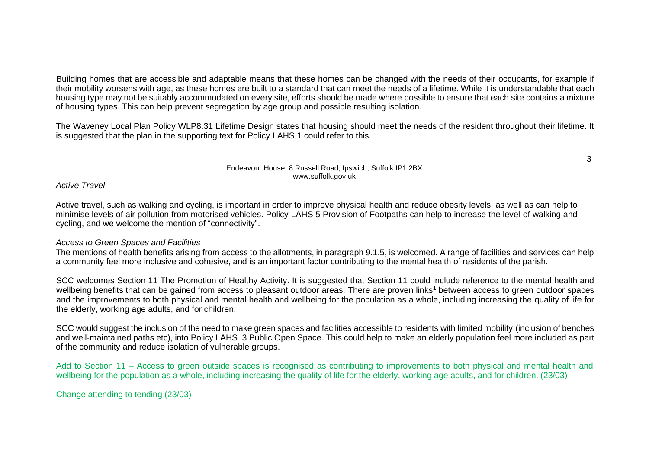Building homes that are accessible and adaptable means that these homes can be changed with the needs of their occupants, for example if their mobility worsens with age, as these homes are built to a standard that can meet the needs of a lifetime. While it is understandable that each housing type may not be suitably accommodated on every site, efforts should be made where possible to ensure that each site contains a mixture of housing types. This can help prevent segregation by age group and possible resulting isolation.

The Waveney Local Plan Policy WLP8.31 Lifetime Design states that housing should meet the needs of the resident throughout their lifetime. It is suggested that the plan in the supporting text for Policy LAHS 1 could refer to this.

#### Endeavour House, 8 Russell Road, Ipswich, Suffolk IP1 2BX [www.suffolk.gov.uk](http://www.suffolk.gov.uk/)

#### *Active Travel*

Active travel, such as walking and cycling, is important in order to improve physical health and reduce obesity levels, as well as can help to minimise levels of air pollution from motorised vehicles. Policy LAHS 5 Provision of Footpaths can help to increase the level of walking and cycling, and we welcome the mention of "connectivity".

#### *Access to Green Spaces and Facilities*

The mentions of health benefits arising from access to the allotments, in paragraph 9.1.5, is welcomed. A range of facilities and services can help a community feel more inclusive and cohesive, and is an important factor contributing to the mental health of residents of the parish.

SCC welcomes Section 11 The Promotion of Healthy Activity. It is suggested that Section 11 could include reference to the mental health and wellbeing benefits that can be gained from access to pleasant outdoor areas. There are proven links<sup>1</sup> between access to green outdoor spaces and the improvements to both physical and mental health and wellbeing for the population as a whole, including increasing the quality of life for the elderly, working age adults, and for children.

SCC would suggest the inclusion of the need to make green spaces and facilities accessible to residents with limited mobility (inclusion of benches and well-maintained paths etc), into Policy LAHS 3 Public Open Space. This could help to make an elderly population feel more included as part of the community and reduce isolation of vulnerable groups.

Add to Section 11 – Access to green outside spaces is recognised as contributing to improvements to both physical and mental health and wellbeing for the population as a whole, including increasing the quality of life for the elderly, working age adults, and for children. (23/03)

Change attending to tending (23/03)

3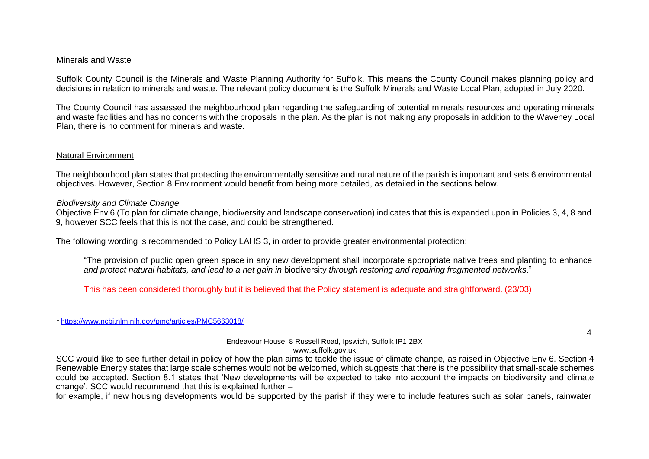#### Minerals and Waste

Suffolk County Council is the Minerals and Waste Planning Authority for Suffolk. This means the County Council makes planning policy and decisions in relation to minerals and waste. The relevant policy document is the Suffolk Minerals and Waste Local Plan, adopted in July 2020.

The County Council has assessed the neighbourhood plan regarding the safeguarding of potential minerals resources and operating minerals and waste facilities and has no concerns with the proposals in the plan. As the plan is not making any proposals in addition to the Waveney Local Plan, there is no comment for minerals and waste.

## Natural Environment

The neighbourhood plan states that protecting the environmentally sensitive and rural nature of the parish is important and sets 6 environmental objectives. However, Section 8 Environment would benefit from being more detailed, as detailed in the sections below.

#### *Biodiversity and Climate Change*

Objective Env 6 (To plan for climate change, biodiversity and landscape conservation) indicates that this is expanded upon in Policies 3, 4, 8 and 9, however SCC feels that this is not the case, and could be strengthened.

The following wording is recommended to Policy LAHS 3, in order to provide greater environmental protection:

"The provision of public open green space in any new development shall incorporate appropriate native trees and planting to enhance *and protect natural habitats, and lead to a net gain in* biodiversity *through restoring and repairing fragmented networks*."

This has been considered thoroughly but it is believed that the Policy statement is adequate and straightforward. (23/03)

<sup>1</sup> https:/[/www.ncbi.nlm.nih.gov/pmc/articles/PMC5663018/](http://www.ncbi.nlm.nih.gov/pmc/articles/PMC5663018/)

4

#### Endeavour House, 8 Russell Road, Ipswich, Suffolk IP1 2BX [www.suffolk.gov.uk](http://www.suffolk.gov.uk/)

SCC would like to see further detail in policy of how the plan aims to tackle the issue of climate change, as raised in Objective Env 6. Section 4 Renewable Energy states that large scale schemes would not be welcomed, which suggests that there is the possibility that small-scale schemes could be accepted. Section 8.1 states that 'New developments will be expected to take into account the impacts on biodiversity and climate change'. SCC would recommend that this is explained further –

for example, if new housing developments would be supported by the parish if they were to include features such as solar panels, rainwater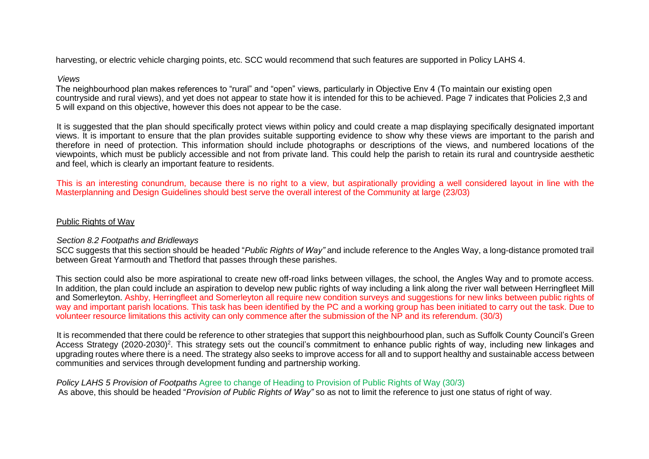harvesting, or electric vehicle charging points, etc. SCC would recommend that such features are supported in Policy LAHS 4.

#### *Views*

The neighbourhood plan makes references to "rural" and "open" views, particularly in Objective Env 4 (To maintain our existing open countryside and rural views), and yet does not appear to state how it is intended for this to be achieved. Page 7 indicates that Policies 2,3 and 5 will expand on this objective, however this does not appear to be the case.

It is suggested that the plan should specifically protect views within policy and could create a map displaying specifically designated important views. It is important to ensure that the plan provides suitable supporting evidence to show why these views are important to the parish and therefore in need of protection. This information should include photographs or descriptions of the views, and numbered locations of the viewpoints, which must be publicly accessible and not from private land. This could help the parish to retain its rural and countryside aesthetic and feel, which is clearly an important feature to residents.

This is an interesting conundrum, because there is no right to a view, but aspirationally providing a well considered layout in line with the Masterplanning and Design Guidelines should best serve the overall interest of the Community at large (23/03)

#### Public Rights of Way

#### *Section 8.2 Footpaths and Bridleways*

SCC suggests that this section should be headed "*Public Rights of Way"* and include reference to the Angles Way, a long-distance promoted trail between Great Yarmouth and Thetford that passes through these parishes.

This section could also be more aspirational to create new off-road links between villages, the school, the Angles Way and to promote access. In addition, the plan could include an aspiration to develop new public rights of way including a link along the river wall between Herringfleet Mill and Somerleyton. Ashby, Herringfleet and Somerleyton all require new condition surveys and suggestions for new links between public rights of way and important parish locations. This task has been identified by the PC and a working group has been initiated to carry out the task. Due to volunteer resource limitations this activity can only commence after the submission of the NP and its referendum. (30/3)

It is recommended that there could be reference to other strategies that support this neighbourhood plan, such as Suffolk County Council's Green Access Strategy (2020-2030)<sup>2</sup>. This strategy sets out the council's commitment to enhance public rights of way, including new linkages and upgrading routes where there is a need. The strategy also seeks to improve access for all and to support healthy and sustainable access between communities and services through development funding and partnership working.

#### *Policy LAHS 5 Provision of Footpaths* Agree to change of Heading to Provision of Public Rights of Way (30/3) As above, this should be headed "*Provision of Public Rights of Way"* so as not to limit the reference to just one status of right of way.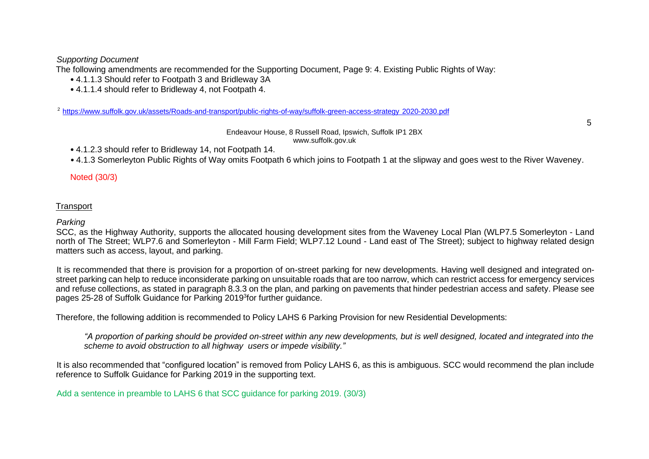*Supporting Document*

The following amendments are recommended for the Supporting Document, Page 9: 4. Existing Public Rights of Way:

- 4.1.1.3 Should refer to Footpath 3 and Bridleway 3A
- 4.1.1.4 should refer to Bridleway 4, not Footpath 4.

<sup>2</sup> https:/[/www.suffolk.gov.uk/assets/Roads-and-transport/public-rights-of-way/suffolk-green-access-strategy](http://www.suffolk.gov.uk/assets/Roads-and-transport/public-rights-of-way/suffolk-green-access-strategy2020-2030.pdf) 2020-2030.pdf

Endeavour House, 8 Russell Road, Ipswich, Suffolk IP1 2BX

[www.suffolk.gov.uk](http://www.suffolk.gov.uk/)

• 4.1.2.3 should refer to Bridleway 14, not Footpath 14.

• 4.1.3 Somerleyton Public Rights of Way omits Footpath 6 which joins to Footpath 1 at the slipway and goes west to the River Waveney.

Noted (30/3)

#### **Transport**

#### *Parking*

SCC, as the Highway Authority, supports the allocated housing development sites from the Waveney Local Plan (WLP7.5 Somerleyton - Land north of The Street; WLP7.6 and Somerleyton - Mill Farm Field; WLP7.12 Lound - Land east of The Street); subject to highway related design matters such as access, layout, and parking.

It is recommended that there is provision for a proportion of on-street parking for new developments. Having well designed and integrated onstreet parking can help to reduce inconsiderate parking on unsuitable roads that are too narrow, which can restrict access for emergency services and refuse collections, as stated in paragraph 8.3.3 on the plan, and parking on pavements that hinder pedestrian access and safety. Please see pages 25-28 of Suffolk Guidance for Parking 2019<sup>3</sup>for further guidance.

Therefore, the following addition is recommended to Policy LAHS 6 Parking Provision for new Residential Developments:

*"A proportion of parking should be provided on-street within any new developments, but is well designed, located and integrated into the scheme to avoid obstruction to all highway users or impede visibility."*

It is also recommended that "configured location" is removed from Policy LAHS 6, as this is ambiguous. SCC would recommend the plan include reference to Suffolk Guidance for Parking 2019 in the supporting text.

Add a sentence in preamble to LAHS 6 that SCC guidance for parking 2019. (30/3)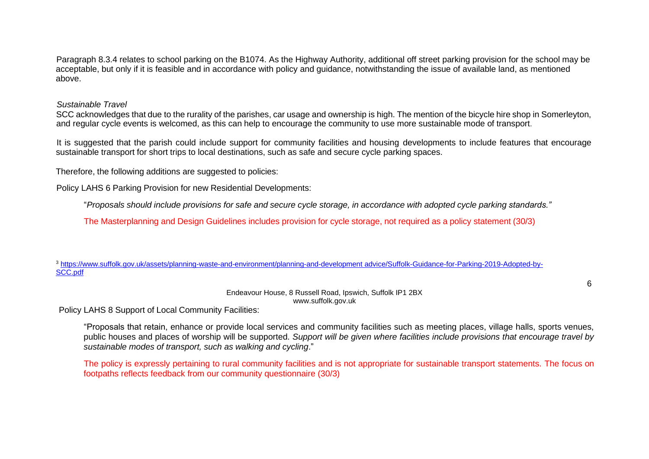Paragraph 8.3.4 relates to school parking on the B1074. As the Highway Authority, additional off street parking provision for the school may be acceptable, but only if it is feasible and in accordance with policy and guidance, notwithstanding the issue of available land, as mentioned above.

#### *Sustainable Travel*

SCC acknowledges that due to the rurality of the parishes, car usage and ownership is high. The mention of the bicycle hire shop in Somerleyton, and regular cycle events is welcomed, as this can help to encourage the community to use more sustainable mode of transport.

It is suggested that the parish could include support for community facilities and housing developments to include features that encourage sustainable transport for short trips to local destinations, such as safe and secure cycle parking spaces.

Therefore, the following additions are suggested to policies:

Policy LAHS 6 Parking Provision for new Residential Developments:

"Proposals should include provisions for safe and secure cycle storage, in accordance with adopted cycle parking standards."

The Masterplanning and Design Guidelines includes provision for cycle storage, not required as a policy statement (30/3)

#### <sup>3</sup> https:[//www.suffolk.gov.uk/assets/planning-waste-and-environment/planning-and-development](http://www.suffolk.gov.uk/assets/planning-waste-and-environment/planning-and-developmentadvice/Suffolk-Guidance-for-Parking-2019-Adopted-by-) advice/Suffolk-Guidance-for-Parking-2019-Adopted-by-SCC.pdf

Endeavour House, 8 Russell Road, Ipswich, Suffolk IP1 2BX [www.suffolk.gov.uk](http://www.suffolk.gov.uk/)

Policy LAHS 8 Support of Local Community Facilities:

"Proposals that retain, enhance or provide local services and community facilities such as meeting places, village halls, sports venues, public houses and places of worship will be supported. *Support will be given where facilities include provisions that encourage travel by sustainable modes of transport, such as walking and cycling*."

The policy is expressly pertaining to rural community facilities and is not appropriate for sustainable transport statements. The focus on footpaths reflects feedback from our community questionnaire (30/3)

6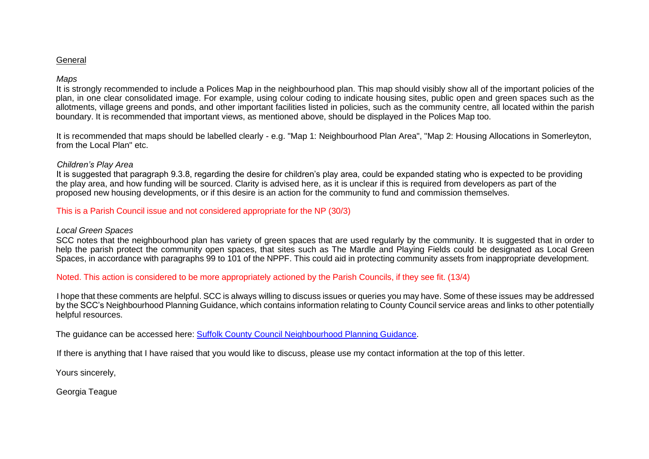#### **General**

#### *Maps*

It is strongly recommended to include a Polices Map in the neighbourhood plan. This map should visibly show all of the important policies of the plan, in one clear consolidated image. For example, using colour coding to indicate housing sites, public open and green spaces such as the allotments, village greens and ponds, and other important facilities listed in policies, such as the community centre, all located within the parish boundary. It is recommended that important views, as mentioned above, should be displayed in the Polices Map too.

It is recommended that maps should be labelled clearly - e.g. "Map 1: Neighbourhood Plan Area", "Map 2: Housing Allocations in Somerleyton, from the Local Plan" etc.

#### *Children's Play Area*

It is suggested that paragraph 9.3.8, regarding the desire for children's play area, could be expanded stating who is expected to be providing the play area, and how funding will be sourced. Clarity is advised here, as it is unclear if this is required from developers as part of the proposed new housing developments, or if this desire is an action for the community to fund and commission themselves.

This is a Parish Council issue and not considered appropriate for the NP (30/3)

#### *Local Green Spaces*

SCC notes that the neighbourhood plan has variety of green spaces that are used regularly by the community. It is suggested that in order to help the parish protect the community open spaces, that sites such as The Mardle and Playing Fields could be designated as Local Green Spaces, in accordance with paragraphs 99 to 101 of the NPPF. This could aid in protecting community assets from inappropriate development.

Noted. This action is considered to be more appropriately actioned by the Parish Councils, if they see fit. (13/4)

I hope that these comments are helpful. SCC is always willing to discuss issues or queries you may have. Some of these issues may be addressed by the SCC's Neighbourhood Planning Guidance, which contains information relating to County Council service areas and links to other potentially helpful resources.

The guidance can be accessed here: Suffolk County Council Neighbourhood Planning Guidance.

If there is anything that I have raised that you would like to discuss, please use my contact information at the top of this letter.

Yours sincerely,

Georgia Teague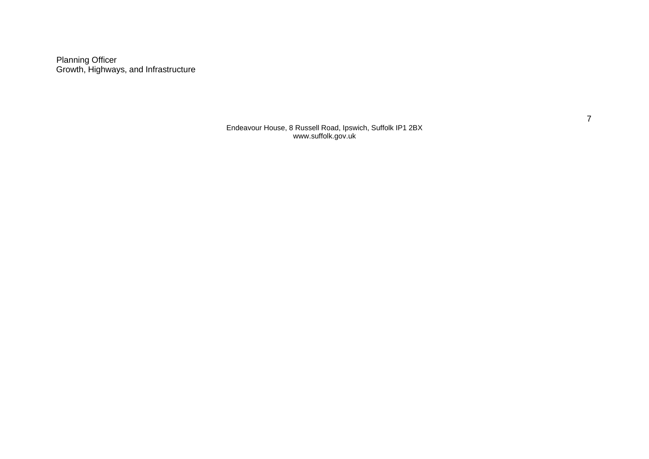Planning Officer Growth, Highways, and Infrastructure

> Endeavour House, 8 Russell Road, Ipswich, Suffolk IP1 2BX [www.suffolk.gov.uk](http://www.suffolk.gov.uk/)

7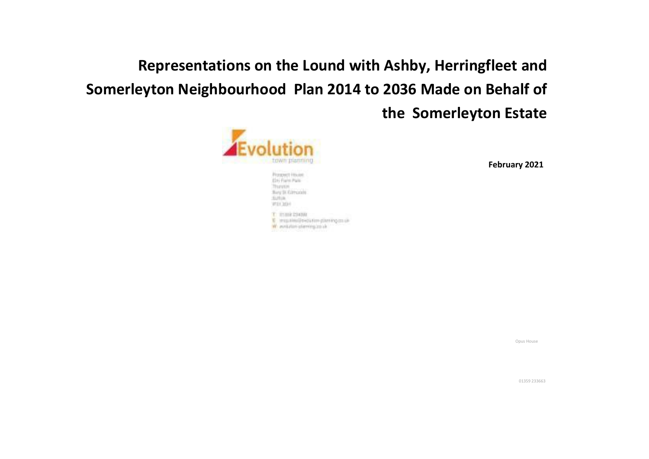# **Representations on the Lound with Ashby, Herringfleet and Somerleyton Neighbourhood Plan 2014 to 2036 Made on Behalf of the Somerleyton Estate**



**February 2021**

Process House EDIT Form Pale **Threaton** Ney B. Emurate Airbin. 3721,333 F

T mail them. W. winstructure planning mail-W. avdator-pleming zo al-

Opus House

01359 233663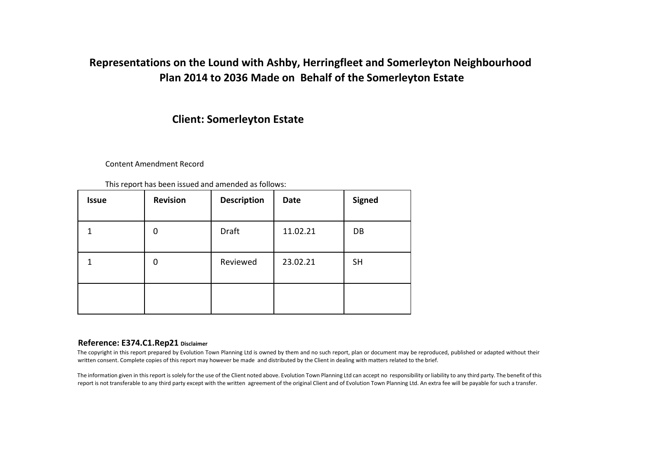# **Representations on the Lound with Ashby, Herringfleet and Somerleyton Neighbourhood Plan 2014 to 2036 Made on Behalf of the Somerleyton Estate**

# **Client: Somerleyton Estate**

Content Amendment Record

| This report has been issued and amended as follows: |  |  |  |
|-----------------------------------------------------|--|--|--|
|-----------------------------------------------------|--|--|--|

| <b>Issue</b> | <b>Revision</b> | <b>Description</b> | <b>Date</b> | <b>Signed</b> |
|--------------|-----------------|--------------------|-------------|---------------|
|              | 0               | <b>Draft</b>       | 11.02.21    | DB            |
|              | 0               | Reviewed           | 23.02.21    | <b>SH</b>     |
|              |                 |                    |             |               |

#### **Reference: E374.C1.Rep21 Disclaimer**

The copyright in this report prepared by Evolution Town Planning Ltd is owned by them and no such report, plan or document may be reproduced, published or adapted without their written consent. Complete copies of this report may however be made and distributed by the Client in dealing with matters related to the brief.

The information given in this report is solely for the use of the Client noted above. Evolution Town Planning Ltd can accept no responsibility or liability to any third party. The benefit of this report is not transferable to any third party except with the written agreement of the original Client and of Evolution Town Planning Ltd. An extra fee will be payable for such a transfer.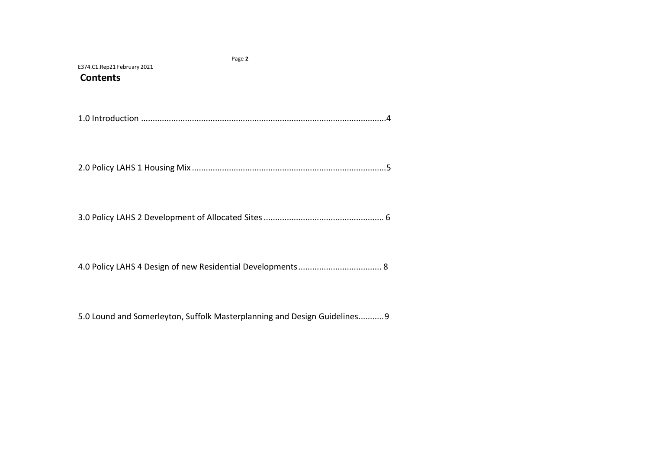| Page 2                                         |
|------------------------------------------------|
| E374.C1.Rep21 February 2021<br><b>Contents</b> |
|                                                |
|                                                |
|                                                |
|                                                |
|                                                |
|                                                |
|                                                |
|                                                |
|                                                |
|                                                |
|                                                |
|                                                |
|                                                |
|                                                |
|                                                |
|                                                |
|                                                |

5.0 Lound and Somerleyton, Suffolk Masterplanning and Design [Guidelines...........9](#page-60-0)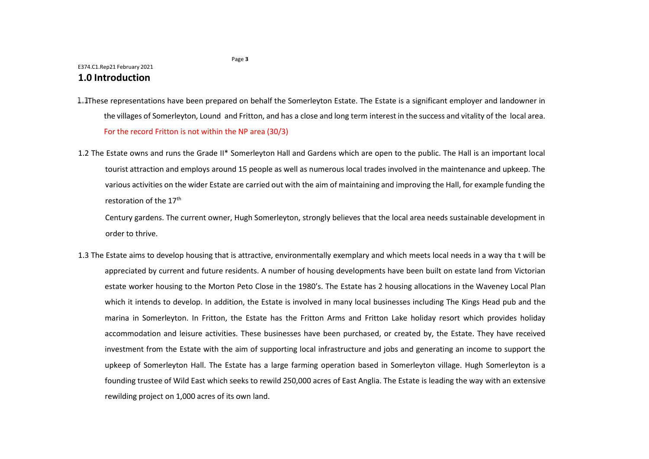#### <span id="page-54-0"></span>E374.C1.Rep21 February 2021 **1.0 Introduction**

- These representations have been prepared on behalf the Somerleyton Estate. The Estate is a significant employer and landowner in the villages of Somerleyton, Lound and Fritton, and has a close and long term interest in the success and vitality of the local area. For the record Fritton is not within the NP area (30/3)
- 1.2 The Estate owns and runs the Grade II\* Somerleyton Hall and Gardens which are open to the public. The Hall is an important local tourist attraction and employs around 15 people as well as numerous local trades involved in the maintenance and upkeep. The various activities on the wider Estate are carried out with the aim of maintaining and improving the Hall, for example funding the restoration of the 17<sup>th</sup>

Century gardens. The current owner, Hugh Somerleyton, strongly believes that the local area needs sustainable development in order to thrive.

1.3 The Estate aims to develop housing that is attractive, environmentally exemplary and which meets local needs in a way tha t will be appreciated by current and future residents. A number of housing developments have been built on estate land from Victorian estate worker housing to the Morton Peto Close in the 1980's. The Estate has 2 housing allocations in the Waveney Local Plan which it intends to develop. In addition, the Estate is involved in many local businesses including The Kings Head pub and the marina in Somerleyton. In Fritton, the Estate has the Fritton Arms and Fritton Lake holiday resort which provides holiday accommodation and leisure activities. These businesses have been purchased, or created by, the Estate. They have received investment from the Estate with the aim of supporting local infrastructure and jobs and generating an income to support the upkeep of Somerleyton Hall. The Estate has a large farming operation based in Somerleyton village. Hugh Somerleyton is a founding trustee of Wild East which seeks to rewild 250,000 acres of East Anglia. The Estate is leading the way with an extensive rewilding project on 1,000 acres of its own land.

Page **3**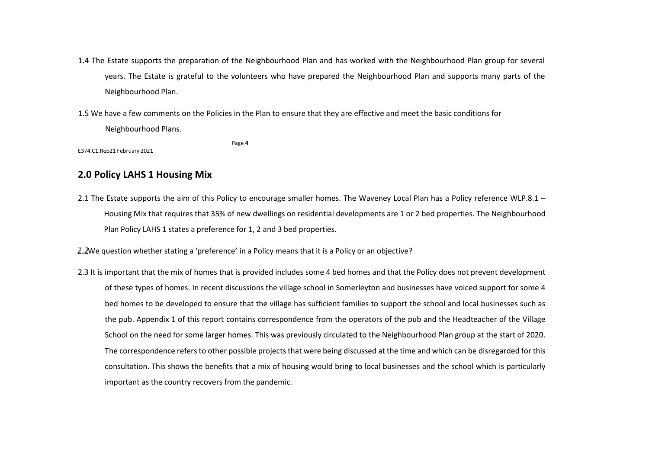- 1.4 The Estate supports the preparation of the Neighbourhood Plan and has worked with the Neighbourhood Plan group for several years. The Estate is grateful to the volunteers who have prepared the Neighbourhood Plan and supports many parts of the Neighbourhood Plan.
- 1.5 We have a few comments on the Policies in the Plan to ensure that they are effective and meet the basic conditions for Neighbourhood Plans.

E374.C1.Rep21 February 2021

#### <span id="page-55-0"></span>**2.0 Policy LAHS 1 Housing Mix**

2.1 The Estate supports the aim of this Policy to encourage smaller homes. The Waveney Local Plan has a Policy reference WLP.8.1 – Housing Mix that requires that 35% of new dwellings on residential developments are 1 or 2 bed properties. The Neighbourhood Plan Policy LAHS 1 states a preference for 1, 2 and 3 bed properties.

We question whether stating a 'preference' in a Policy means that it is a Policy or an objective?

Page **4**

2.3 It is important that the mix of homes that is provided includes some 4 bed homes and that the Policy does not prevent development of these types of homes. In recent discussions the village school in Somerleyton and businesses have voiced support for some 4 bed homes to be developed to ensure that the village has sufficient families to support the school and local businesses such as the pub. Appendix 1 of this report contains correspondence from the operators of the pub and the Headteacher of the Village School on the need for some larger homes. This was previously circulated to the Neighbourhood Plan group at the start of 2020. The correspondence refers to other possible projects that were being discussed at the time and which can be disregarded for this consultation. This shows the benefits that a mix of housing would bring to local businesses and the school which is particularly important as the country recovers from the pandemic.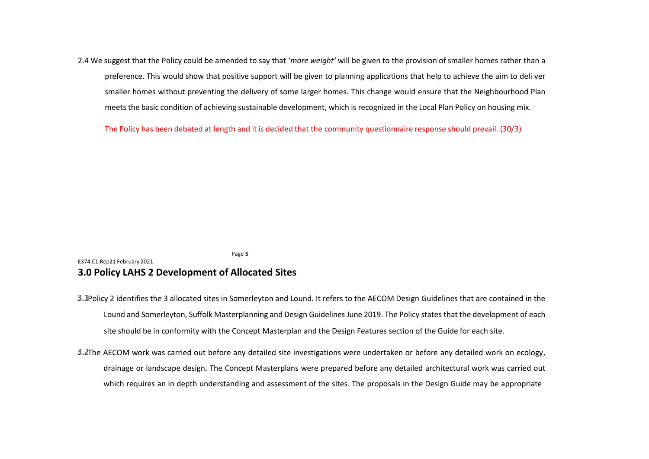2.4 We suggest that the Policy could be amended to say that '*more weight'* will be given to the provision of smaller homes rather than a preference. This would show that positive support will be given to planning applications that help to achieve the aim to deli ver smaller homes without preventing the delivery of some larger homes. This change would ensure that the Neighbourhood Plan meets the basic condition of achieving sustainable development, which is recognized in the Local Plan Policy on housing mix.

The Policy has been debated at length and it is decided that the community questionnaire response should prevail. (30/3)

Page **5**

## <span id="page-56-0"></span>**3.0 Policy LAHS 2 Development of Allocated Sites**

E374.C1.Rep21 February 2021

- Policy 2 identifies the 3 allocated sites in Somerleyton and Lound. It refers to the AECOM Design Guidelines that are contained in the Lound and Somerleyton, Suffolk Masterplanning and Design Guidelines June 2019. The Policy states that the development of each site should be in conformity with the Concept Masterplan and the Design Features section of the Guide for each site.
- The AECOM work was carried out before any detailed site investigations were undertaken or before any detailed work on ecology, drainage or landscape design. The Concept Masterplans were prepared before any detailed architectural work was carried out which requires an in depth understanding and assessment of the sites. The proposals in the Design Guide may be appropriate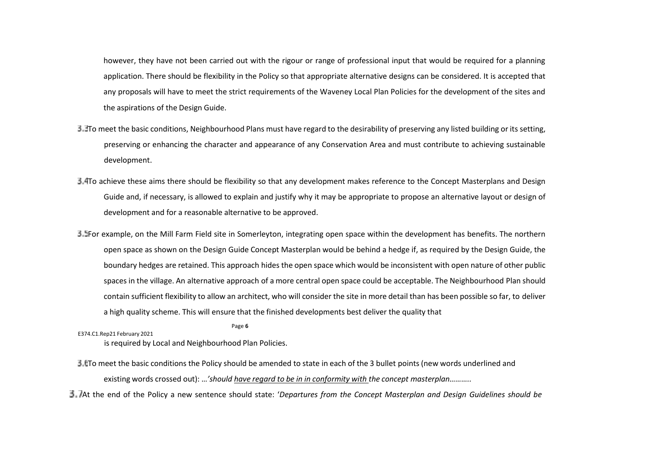however, they have not been carried out with the rigour or range of professional input that would be required for a planning application. There should be flexibility in the Policy so that appropriate alternative designs can be considered. It is accepted that any proposals will have to meet the strict requirements of the Waveney Local Plan Policies for the development of the sites and the aspirations of the Design Guide.

- **E. T**o meet the basic conditions, Neighbourhood Plans must have regard to the desirability of preserving any listed building or its setting, preserving or enhancing the character and appearance of any Conservation Area and must contribute to achieving sustainable development.
- To achieve these aims there should be flexibility so that any development makes reference to the Concept Masterplans and Design Guide and, if necessary, is allowed to explain and justify why it may be appropriate to propose an alternative layout or design of development and for a reasonable alternative to be approved.
- For example, on the Mill Farm Field site in Somerleyton, integrating open space within the development has benefits. The northern open space as shown on the Design Guide Concept Masterplan would be behind a hedge if, as required by the Design Guide, the boundary hedges are retained. This approach hides the open space which would be inconsistent with open nature of other public spaces in the village. An alternative approach of a more central open space could be acceptable. The Neighbourhood Plan should contain sufficient flexibility to allow an architect, who will consider the site in more detail than has been possible so far, to deliver a high quality scheme. This will ensure that the finished developments best deliver the quality that

Page **6**

E374.C1.Rep21 February 2021

is required by Local and Neighbourhood Plan Policies.

- To meet the basic conditions the Policy should be amended to state in each of the 3 bullet points (new words underlined and existing words crossed out): …*'should have regard to be in in conformity with the concept masterplan………..*
- At the end of the Policy a new sentence should state: '*Departures from the Concept Masterplan and Design Guidelines should be*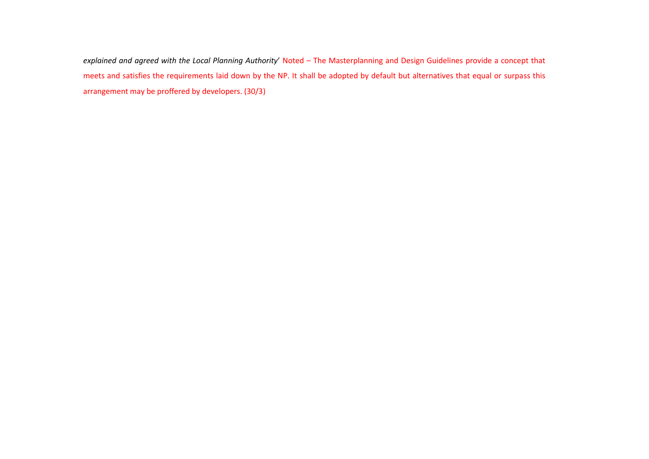*explained and agreed with the Local Planning Authority*' Noted – The Masterplanning and Design Guidelines provide a concept that meets and satisfies the requirements laid down by the NP. It shall be adopted by default but alternatives that equal or surpass this arrangement may be proffered by developers. (30/3)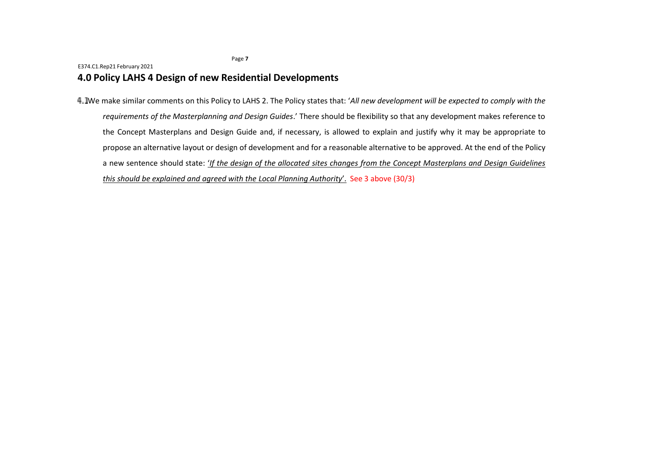#### <span id="page-59-0"></span>Page **7** E374.C1.Rep21 February 2021 **4.0 Policy LAHS 4 Design of new Residential Developments**

We make similar comments on this Policy to LAHS 2. The Policy states that: '*All new development will be expected to comply with the requirements of the Masterplanning and Design Guides*.' There should be flexibility so that any development makes reference to the Concept Masterplans and Design Guide and, if necessary, is allowed to explain and justify why it may be appropriate to propose an alternative layout or design of development and for a reasonable alternative to be approved. At the end of the Policy a new sentence should state: '*If the design of the allocated sites changes from the Concept Masterplans and Design Guidelines this should be explained and agreed with the Local Planning Authority*'. See 3 above (30/3)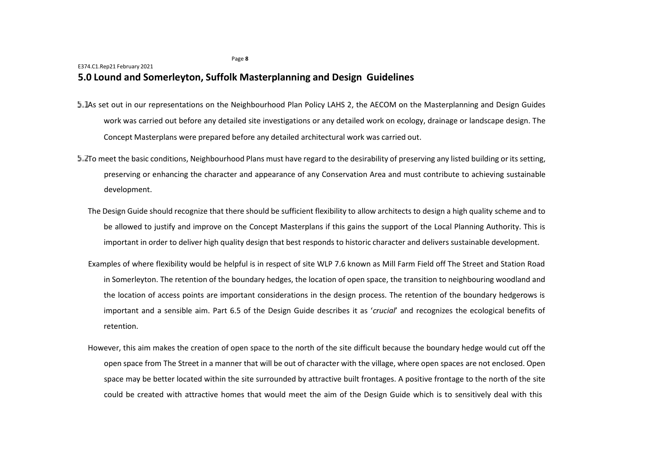## <span id="page-60-0"></span>E374.C1.Rep21 February 2021 **5.0 Lound and Somerleyton, Suffolk Masterplanning and Design Guidelines**

- As set out in our representations on the Neighbourhood Plan Policy LAHS 2, the AECOM on the Masterplanning and Design Guides work was carried out before any detailed site investigations or any detailed work on ecology, drainage or landscape design. The Concept Masterplans were prepared before any detailed architectural work was carried out.
- To meet the basic conditions, Neighbourhood Plans must have regard to the desirability of preserving any listed building or its setting, preserving or enhancing the character and appearance of any Conservation Area and must contribute to achieving sustainable development.
	- The Design Guide should recognize that there should be sufficient flexibility to allow architects to design a high quality scheme and to be allowed to justify and improve on the Concept Masterplans if this gains the support of the Local Planning Authority. This is important in order to deliver high quality design that best responds to historic character and delivers sustainable development.
	- Examples of where flexibility would be helpful is in respect of site WLP 7.6 known as Mill Farm Field off The Street and Station Road in Somerleyton. The retention of the boundary hedges, the location of open space, the transition to neighbouring woodland and the location of access points are important considerations in the design process. The retention of the boundary hedgerows is important and a sensible aim. Part 6.5 of the Design Guide describes it as '*crucial*' and recognizes the ecological benefits of retention.
	- However, this aim makes the creation of open space to the north of the site difficult because the boundary hedge would cut off the open space from The Street in a manner that will be out of character with the village, where open spaces are not enclosed. Open space may be better located within the site surrounded by attractive built frontages. A positive frontage to the north of the site could be created with attractive homes that would meet the aim of the Design Guide which is to sensitively deal with this

Page **8**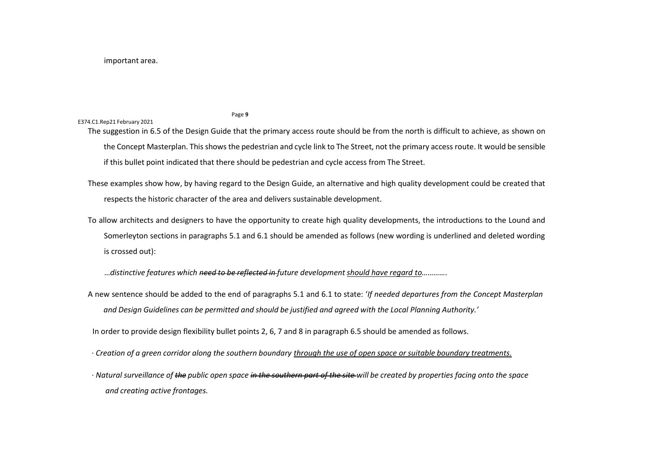#### important area.

E374.C1.Rep21 February 2021

#### Page **9**

# The suggestion in 6.5 of the Design Guide that the primary access route should be from the north is difficult to achieve, as shown on the Concept Masterplan. Thisshows the pedestrian and cycle link to The Street, not the primary access route. It would be sensible if this bullet point indicated that there should be pedestrian and cycle access from The Street.

- These examples show how, by having regard to the Design Guide, an alternative and high quality development could be created that respects the historic character of the area and delivers sustainable development.
- To allow architects and designers to have the opportunity to create high quality developments, the introductions to the Lound and Somerleyton sections in paragraphs 5.1 and 6.1 should be amended as follows (new wording is underlined and deleted wording is crossed out):
	- …*distinctive features which need to be reflected in future development should have regard to………….*
- A new sentence should be added to the end of paragraphs 5.1 and 6.1 to state: '*If needed departures from the Concept Masterplan and Design Guidelines can be permitted and should be justified and agreed with the Local Planning Authority.'*

In order to provide design flexibility bullet points 2, 6, 7 and 8 in paragraph 6.5 should be amended as follows.

- · Creation of a green corridor along the southern boundary through the use of open space or suitable boundary treatments.
- · Natural surveillance of the public open space in the southern part of the site-will be created by properties facing onto the space *and creating active frontages.*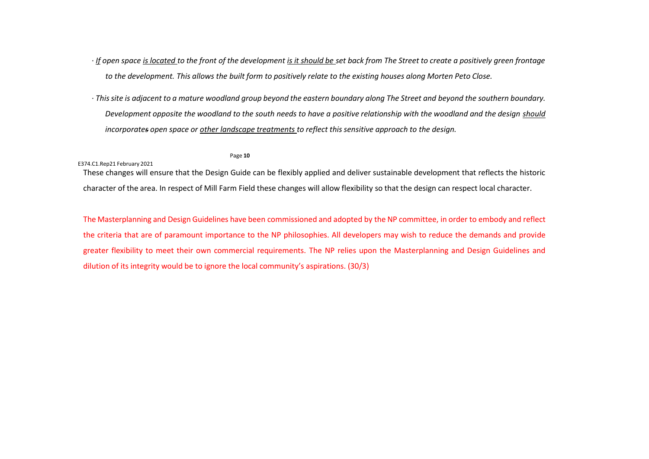- If open space is located to the front of the development is it should be set back from The Street to create a positively green frontage to the development. This allows the built form to positively relate to the existing houses along Morten Peto Close.
- · This site is adjacent to a mature woodland group beyond the eastern boundary along The Street and beyond the southern boundary. Development opposite the woodland to the south needs to have a positive relationship with the woodland and the design should *incorporates open space or other landscape treatments to reflect this sensitive approach to the design.*

#### Page **10**

E374.C1.Rep21 February 2021

These changes will ensure that the Design Guide can be flexibly applied and deliver sustainable development that reflects the historic character of the area. In respect of Mill Farm Field these changes will allow flexibility so that the design can respect local character.

The Masterplanning and Design Guidelines have been commissioned and adopted by the NP committee, in order to embody and reflect the criteria that are of paramount importance to the NP philosophies. All developers may wish to reduce the demands and provide greater flexibility to meet their own commercial requirements. The NP relies upon the Masterplanning and Design Guidelines and dilution of its integrity would be to ignore the local community's aspirations. (30/3)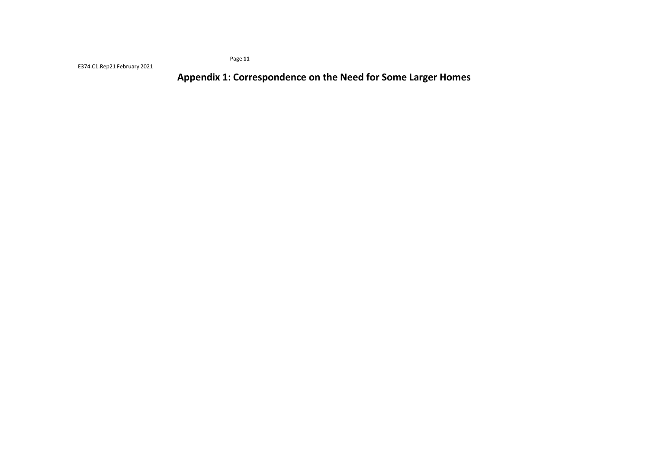Page **11**

E374.C1.Rep21 February 2021

**Appendix 1: Correspondence on the Need for Some Larger Homes**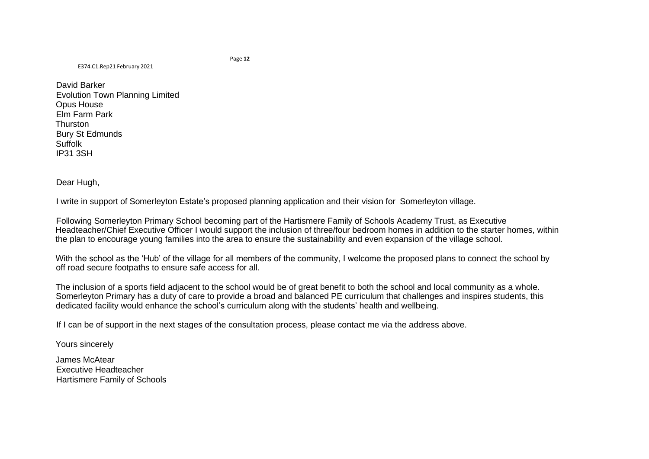E374.C1.Rep21 February 2021

David Barker Evolution Town Planning Limited Opus House Elm Farm Park **Thurston** Bury St Edmunds Suffolk IP31 3SH

Dear Hugh,

I write in support of Somerleyton Estate's proposed planning application and their vision for Somerleyton village.

Following Somerleyton Primary School becoming part of the Hartismere Family of Schools Academy Trust, as Executive Headteacher/Chief Executive Officer I would support the inclusion of three/four bedroom homes in addition to the starter homes, within the plan to encourage young families into the area to ensure the sustainability and even expansion of the village school.

With the school as the 'Hub' of the village for all members of the community, I welcome the proposed plans to connect the school by off road secure footpaths to ensure safe access for all.

The inclusion of a sports field adjacent to the school would be of great benefit to both the school and local community as a whole. Somerleyton Primary has a duty of care to provide a broad and balanced PE curriculum that challenges and inspires students, this dedicated facility would enhance the school's curriculum along with the students' health and wellbeing.

If I can be of support in the next stages of the consultation process, please contact me via the address above.

Yours sincerely

James McAtear Executive Headteacher Hartismere Family of Schools Page **12**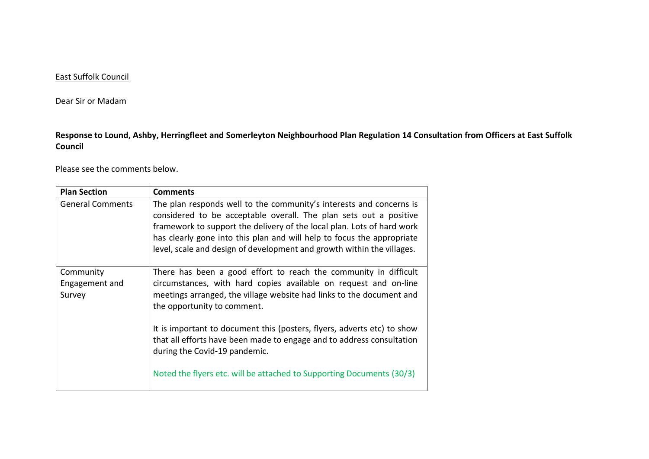## East Suffolk Council

Dear Sir or Madam

**Response to Lound, Ashby, Herringfleet and Somerleyton Neighbourhood Plan Regulation 14 Consultation from Officers at East Suffolk Council**

Please see the comments below.

| <b>Plan Section</b>                   | <b>Comments</b>                                                                                                                                                                                                                                                                                                                                                        |
|---------------------------------------|------------------------------------------------------------------------------------------------------------------------------------------------------------------------------------------------------------------------------------------------------------------------------------------------------------------------------------------------------------------------|
| <b>General Comments</b>               | The plan responds well to the community's interests and concerns is<br>considered to be acceptable overall. The plan sets out a positive<br>framework to support the delivery of the local plan. Lots of hard work<br>has clearly gone into this plan and will help to focus the appropriate<br>level, scale and design of development and growth within the villages. |
| Community<br>Engagement and<br>Survey | There has been a good effort to reach the community in difficult<br>circumstances, with hard copies available on request and on-line<br>meetings arranged, the village website had links to the document and<br>the opportunity to comment.                                                                                                                            |
|                                       | It is important to document this (posters, flyers, adverts etc) to show<br>that all efforts have been made to engage and to address consultation<br>during the Covid-19 pandemic.                                                                                                                                                                                      |
|                                       | Noted the flyers etc. will be attached to Supporting Documents (30/3)                                                                                                                                                                                                                                                                                                  |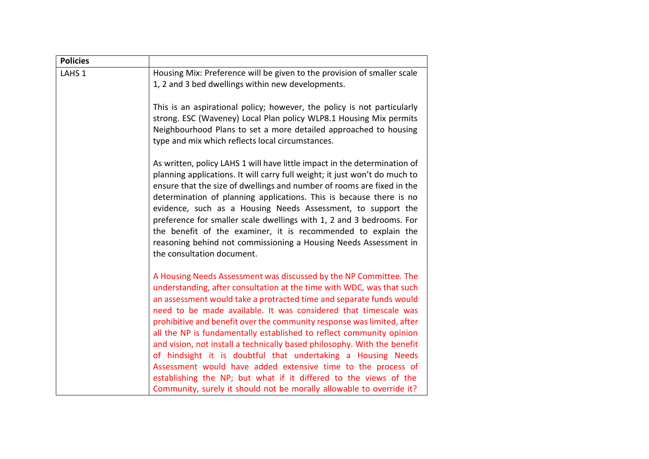| <b>Policies</b>   |                                                                                                                                                                                                                                                                                                                                                                                                                                                                                                                                                                                                                                                                                                                                                                                                |
|-------------------|------------------------------------------------------------------------------------------------------------------------------------------------------------------------------------------------------------------------------------------------------------------------------------------------------------------------------------------------------------------------------------------------------------------------------------------------------------------------------------------------------------------------------------------------------------------------------------------------------------------------------------------------------------------------------------------------------------------------------------------------------------------------------------------------|
| LAHS <sub>1</sub> | Housing Mix: Preference will be given to the provision of smaller scale<br>1, 2 and 3 bed dwellings within new developments.                                                                                                                                                                                                                                                                                                                                                                                                                                                                                                                                                                                                                                                                   |
|                   | This is an aspirational policy; however, the policy is not particularly<br>strong. ESC (Waveney) Local Plan policy WLP8.1 Housing Mix permits<br>Neighbourhood Plans to set a more detailed approached to housing<br>type and mix which reflects local circumstances.                                                                                                                                                                                                                                                                                                                                                                                                                                                                                                                          |
|                   | As written, policy LAHS 1 will have little impact in the determination of<br>planning applications. It will carry full weight; it just won't do much to<br>ensure that the size of dwellings and number of rooms are fixed in the<br>determination of planning applications. This is because there is no<br>evidence, such as a Housing Needs Assessment, to support the<br>preference for smaller scale dwellings with 1, 2 and 3 bedrooms. For<br>the benefit of the examiner, it is recommended to explain the<br>reasoning behind not commissioning a Housing Needs Assessment in<br>the consultation document.                                                                                                                                                                            |
|                   | A Housing Needs Assessment was discussed by the NP Committee. The<br>understanding, after consultation at the time with WDC, was that such<br>an assessment would take a protracted time and separate funds would<br>need to be made available. It was considered that timescale was<br>prohibitive and benefit over the community response was limited, after<br>all the NP is fundamentally established to reflect community opinion<br>and vision, not install a technically based philosophy. With the benefit<br>of hindsight it is doubtful that undertaking a Housing Needs<br>Assessment would have added extensive time to the process of<br>establishing the NP; but what if it differed to the views of the<br>Community, surely it should not be morally allowable to override it? |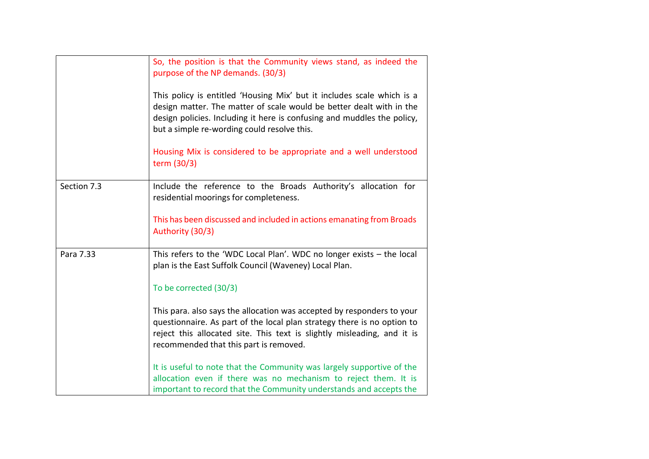|             | So, the position is that the Community views stand, as indeed the<br>purpose of the NP demands. (30/3)                                                                                                                                                                   |
|-------------|--------------------------------------------------------------------------------------------------------------------------------------------------------------------------------------------------------------------------------------------------------------------------|
|             | This policy is entitled 'Housing Mix' but it includes scale which is a<br>design matter. The matter of scale would be better dealt with in the<br>design policies. Including it here is confusing and muddles the policy,<br>but a simple re-wording could resolve this. |
|             | Housing Mix is considered to be appropriate and a well understood<br>term (30/3)                                                                                                                                                                                         |
| Section 7.3 | Include the reference to the Broads Authority's allocation for<br>residential moorings for completeness.                                                                                                                                                                 |
|             | This has been discussed and included in actions emanating from Broads<br>Authority (30/3)                                                                                                                                                                                |
| Para 7.33   | This refers to the 'WDC Local Plan'. WDC no longer exists $-$ the local<br>plan is the East Suffolk Council (Waveney) Local Plan.                                                                                                                                        |
|             | To be corrected (30/3)                                                                                                                                                                                                                                                   |
|             | This para. also says the allocation was accepted by responders to your<br>questionnaire. As part of the local plan strategy there is no option to<br>reject this allocated site. This text is slightly misleading, and it is<br>recommended that this part is removed.   |
|             | It is useful to note that the Community was largely supportive of the<br>allocation even if there was no mechanism to reject them. It is<br>important to record that the Community understands and accepts the                                                           |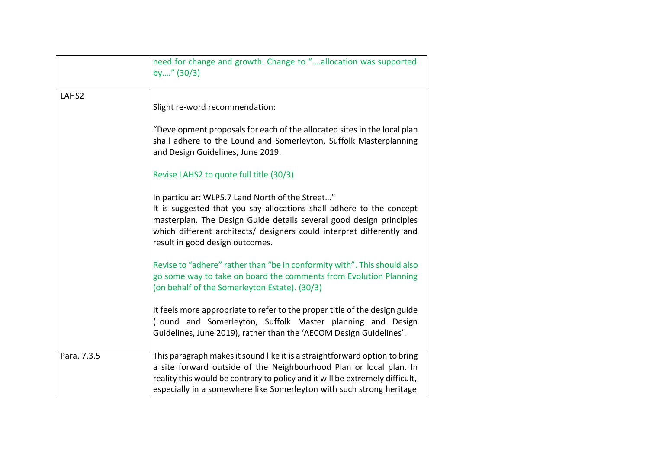|                   | need for change and growth. Change to "allocation was supported<br>by" (30/3)                                                                                                                                                                                                                              |
|-------------------|------------------------------------------------------------------------------------------------------------------------------------------------------------------------------------------------------------------------------------------------------------------------------------------------------------|
| LAHS <sub>2</sub> | Slight re-word recommendation:                                                                                                                                                                                                                                                                             |
|                   | "Development proposals for each of the allocated sites in the local plan<br>shall adhere to the Lound and Somerleyton, Suffolk Masterplanning<br>and Design Guidelines, June 2019.                                                                                                                         |
|                   | Revise LAHS2 to quote full title (30/3)                                                                                                                                                                                                                                                                    |
|                   | In particular: WLP5.7 Land North of the Street"<br>It is suggested that you say allocations shall adhere to the concept<br>masterplan. The Design Guide details several good design principles<br>which different architects/ designers could interpret differently and<br>result in good design outcomes. |
|                   | Revise to "adhere" rather than "be in conformity with". This should also<br>go some way to take on board the comments from Evolution Planning<br>(on behalf of the Somerleyton Estate). (30/3)                                                                                                             |
|                   | It feels more appropriate to refer to the proper title of the design guide<br>(Lound and Somerleyton, Suffolk Master planning and Design<br>Guidelines, June 2019), rather than the 'AECOM Design Guidelines'.                                                                                             |
| Para. 7.3.5       | This paragraph makes it sound like it is a straightforward option to bring<br>a site forward outside of the Neighbourhood Plan or local plan. In<br>reality this would be contrary to policy and it will be extremely difficult,<br>especially in a somewhere like Somerleyton with such strong heritage   |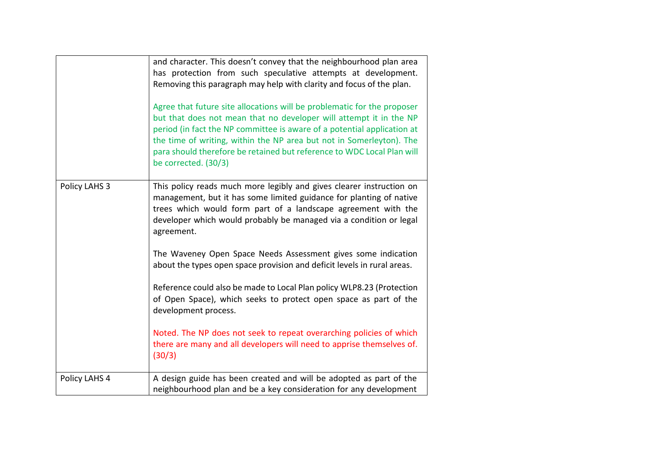|               | and character. This doesn't convey that the neighbourhood plan area<br>has protection from such speculative attempts at development.<br>Removing this paragraph may help with clarity and focus of the plan.<br>Agree that future site allocations will be problematic for the proposer<br>but that does not mean that no developer will attempt it in the NP<br>period (in fact the NP committee is aware of a potential application at<br>the time of writing, within the NP area but not in Somerleyton). The<br>para should therefore be retained but reference to WDC Local Plan will<br>be corrected. (30/3) |
|---------------|--------------------------------------------------------------------------------------------------------------------------------------------------------------------------------------------------------------------------------------------------------------------------------------------------------------------------------------------------------------------------------------------------------------------------------------------------------------------------------------------------------------------------------------------------------------------------------------------------------------------|
| Policy LAHS 3 | This policy reads much more legibly and gives clearer instruction on<br>management, but it has some limited guidance for planting of native<br>trees which would form part of a landscape agreement with the<br>developer which would probably be managed via a condition or legal<br>agreement.                                                                                                                                                                                                                                                                                                                   |
|               | The Waveney Open Space Needs Assessment gives some indication<br>about the types open space provision and deficit levels in rural areas.                                                                                                                                                                                                                                                                                                                                                                                                                                                                           |
|               | Reference could also be made to Local Plan policy WLP8.23 (Protection<br>of Open Space), which seeks to protect open space as part of the<br>development process.                                                                                                                                                                                                                                                                                                                                                                                                                                                  |
|               | Noted. The NP does not seek to repeat overarching policies of which<br>there are many and all developers will need to apprise themselves of.<br>(30/3)                                                                                                                                                                                                                                                                                                                                                                                                                                                             |
| Policy LAHS 4 | A design guide has been created and will be adopted as part of the<br>neighbourhood plan and be a key consideration for any development                                                                                                                                                                                                                                                                                                                                                                                                                                                                            |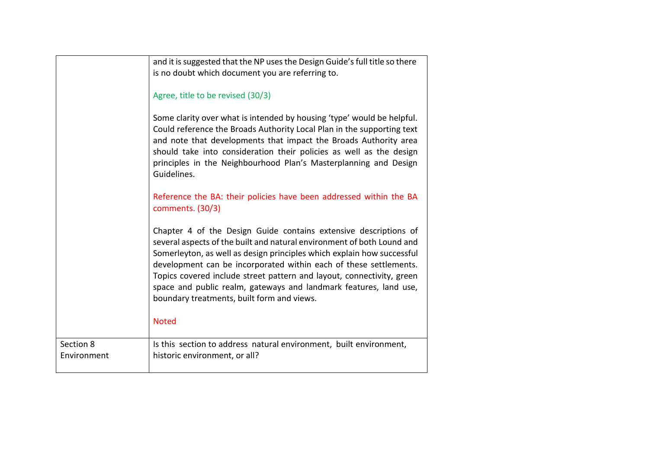|                          | and it is suggested that the NP uses the Design Guide's full title so there<br>is no doubt which document you are referring to.                                                                                                                                                                                                                                                                                                                                                                       |
|--------------------------|-------------------------------------------------------------------------------------------------------------------------------------------------------------------------------------------------------------------------------------------------------------------------------------------------------------------------------------------------------------------------------------------------------------------------------------------------------------------------------------------------------|
|                          | Agree, title to be revised (30/3)                                                                                                                                                                                                                                                                                                                                                                                                                                                                     |
|                          | Some clarity over what is intended by housing 'type' would be helpful.<br>Could reference the Broads Authority Local Plan in the supporting text<br>and note that developments that impact the Broads Authority area<br>should take into consideration their policies as well as the design<br>principles in the Neighbourhood Plan's Masterplanning and Design<br>Guidelines.                                                                                                                        |
|                          | Reference the BA: their policies have been addressed within the BA<br>comments. (30/3)                                                                                                                                                                                                                                                                                                                                                                                                                |
|                          | Chapter 4 of the Design Guide contains extensive descriptions of<br>several aspects of the built and natural environment of both Lound and<br>Somerleyton, as well as design principles which explain how successful<br>development can be incorporated within each of these settlements.<br>Topics covered include street pattern and layout, connectivity, green<br>space and public realm, gateways and landmark features, land use,<br>boundary treatments, built form and views.<br><b>Noted</b> |
|                          |                                                                                                                                                                                                                                                                                                                                                                                                                                                                                                       |
| Section 8<br>Environment | Is this section to address natural environment, built environment,<br>historic environment, or all?                                                                                                                                                                                                                                                                                                                                                                                                   |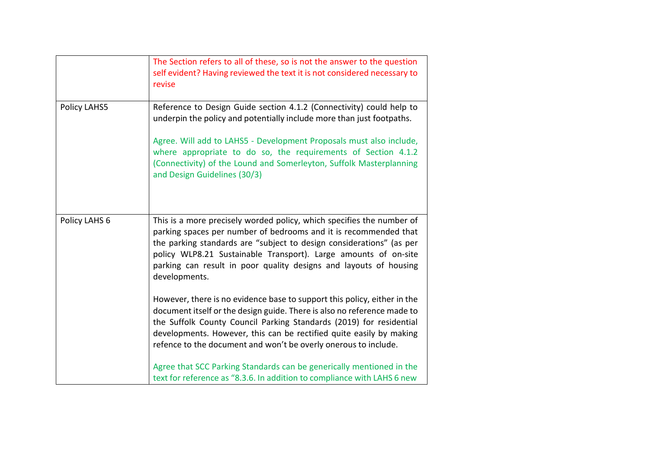|                     | The Section refers to all of these, so is not the answer to the question<br>self evident? Having reviewed the text it is not considered necessary to<br>revise                                                                                                                                                                                                             |
|---------------------|----------------------------------------------------------------------------------------------------------------------------------------------------------------------------------------------------------------------------------------------------------------------------------------------------------------------------------------------------------------------------|
| <b>Policy LAHS5</b> | Reference to Design Guide section 4.1.2 (Connectivity) could help to<br>underpin the policy and potentially include more than just footpaths.                                                                                                                                                                                                                              |
|                     | Agree. Will add to LAHS5 - Development Proposals must also include,<br>where appropriate to do so, the requirements of Section 4.1.2<br>(Connectivity) of the Lound and Somerleyton, Suffolk Masterplanning<br>and Design Guidelines (30/3)                                                                                                                                |
| Policy LAHS 6       | This is a more precisely worded policy, which specifies the number of<br>parking spaces per number of bedrooms and it is recommended that<br>the parking standards are "subject to design considerations" (as per<br>policy WLP8.21 Sustainable Transport). Large amounts of on-site<br>parking can result in poor quality designs and layouts of housing<br>developments. |
|                     | However, there is no evidence base to support this policy, either in the<br>document itself or the design guide. There is also no reference made to<br>the Suffolk County Council Parking Standards (2019) for residential<br>developments. However, this can be rectified quite easily by making<br>refence to the document and won't be overly onerous to include.       |
|                     | Agree that SCC Parking Standards can be generically mentioned in the<br>text for reference as "8.3.6. In addition to compliance with LAHS 6 new                                                                                                                                                                                                                            |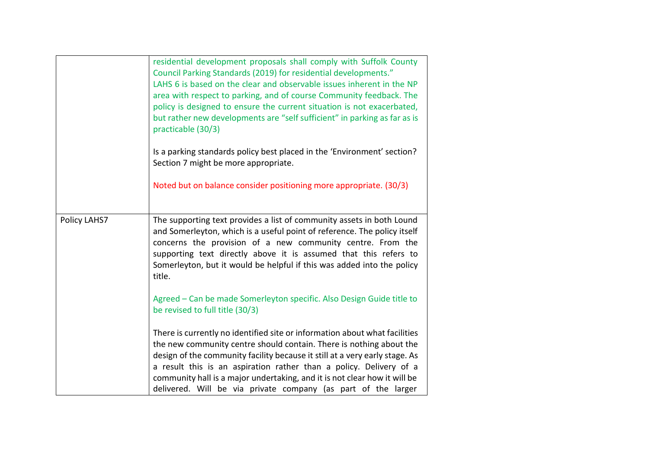|              | residential development proposals shall comply with Suffolk County<br>Council Parking Standards (2019) for residential developments."<br>LAHS 6 is based on the clear and observable issues inherent in the NP<br>area with respect to parking, and of course Community feedback. The<br>policy is designed to ensure the current situation is not exacerbated,<br>but rather new developments are "self sufficient" in parking as far as is<br>practicable (30/3)<br>Is a parking standards policy best placed in the 'Environment' section?<br>Section 7 might be more appropriate.<br>Noted but on balance consider positioning more appropriate. (30/3) |
|--------------|-------------------------------------------------------------------------------------------------------------------------------------------------------------------------------------------------------------------------------------------------------------------------------------------------------------------------------------------------------------------------------------------------------------------------------------------------------------------------------------------------------------------------------------------------------------------------------------------------------------------------------------------------------------|
| Policy LAHS7 | The supporting text provides a list of community assets in both Lound<br>and Somerleyton, which is a useful point of reference. The policy itself<br>concerns the provision of a new community centre. From the<br>supporting text directly above it is assumed that this refers to<br>Somerleyton, but it would be helpful if this was added into the policy<br>title.<br>Agreed - Can be made Somerleyton specific. Also Design Guide title to<br>be revised to full title (30/3)                                                                                                                                                                         |
|              | There is currently no identified site or information about what facilities<br>the new community centre should contain. There is nothing about the<br>design of the community facility because it still at a very early stage. As<br>a result this is an aspiration rather than a policy. Delivery of a<br>community hall is a major undertaking, and it is not clear how it will be<br>delivered. Will be via private company (as part of the larger                                                                                                                                                                                                        |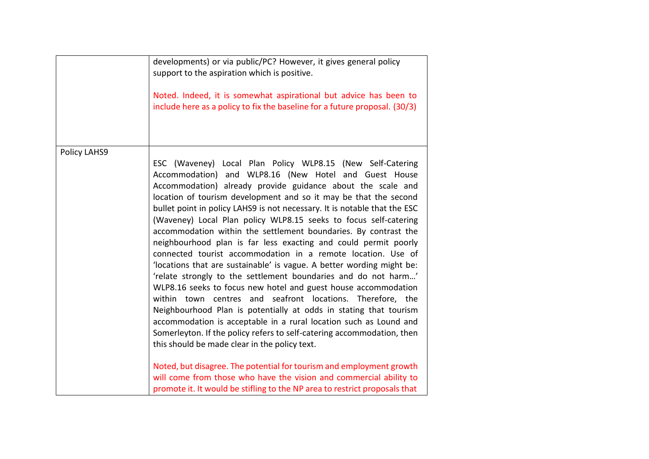|              | developments) or via public/PC? However, it gives general policy<br>support to the aspiration which is positive.<br>Noted. Indeed, it is somewhat aspirational but advice has been to<br>include here as a policy to fix the baseline for a future proposal. (30/3)                                                                                                                                                                                                                                                                                                                                                                                                                                                                                                                                                                                                                                                                                                                                                                                                                                                                                                                                                                                                                                                                                                                       |
|--------------|-------------------------------------------------------------------------------------------------------------------------------------------------------------------------------------------------------------------------------------------------------------------------------------------------------------------------------------------------------------------------------------------------------------------------------------------------------------------------------------------------------------------------------------------------------------------------------------------------------------------------------------------------------------------------------------------------------------------------------------------------------------------------------------------------------------------------------------------------------------------------------------------------------------------------------------------------------------------------------------------------------------------------------------------------------------------------------------------------------------------------------------------------------------------------------------------------------------------------------------------------------------------------------------------------------------------------------------------------------------------------------------------|
| Policy LAHS9 | ESC (Waveney) Local Plan Policy WLP8.15 (New Self-Catering<br>Accommodation) and WLP8.16 (New Hotel and Guest House<br>Accommodation) already provide guidance about the scale and<br>location of tourism development and so it may be that the second<br>bullet point in policy LAHS9 is not necessary. It is notable that the ESC<br>(Waveney) Local Plan policy WLP8.15 seeks to focus self-catering<br>accommodation within the settlement boundaries. By contrast the<br>neighbourhood plan is far less exacting and could permit poorly<br>connected tourist accommodation in a remote location. Use of<br>'locations that are sustainable' is vague. A better wording might be:<br>'relate strongly to the settlement boundaries and do not harm'<br>WLP8.16 seeks to focus new hotel and guest house accommodation<br>within town centres and seafront locations. Therefore, the<br>Neighbourhood Plan is potentially at odds in stating that tourism<br>accommodation is acceptable in a rural location such as Lound and<br>Somerleyton. If the policy refers to self-catering accommodation, then<br>this should be made clear in the policy text.<br>Noted, but disagree. The potential for tourism and employment growth<br>will come from those who have the vision and commercial ability to<br>promote it. It would be stifling to the NP area to restrict proposals that |